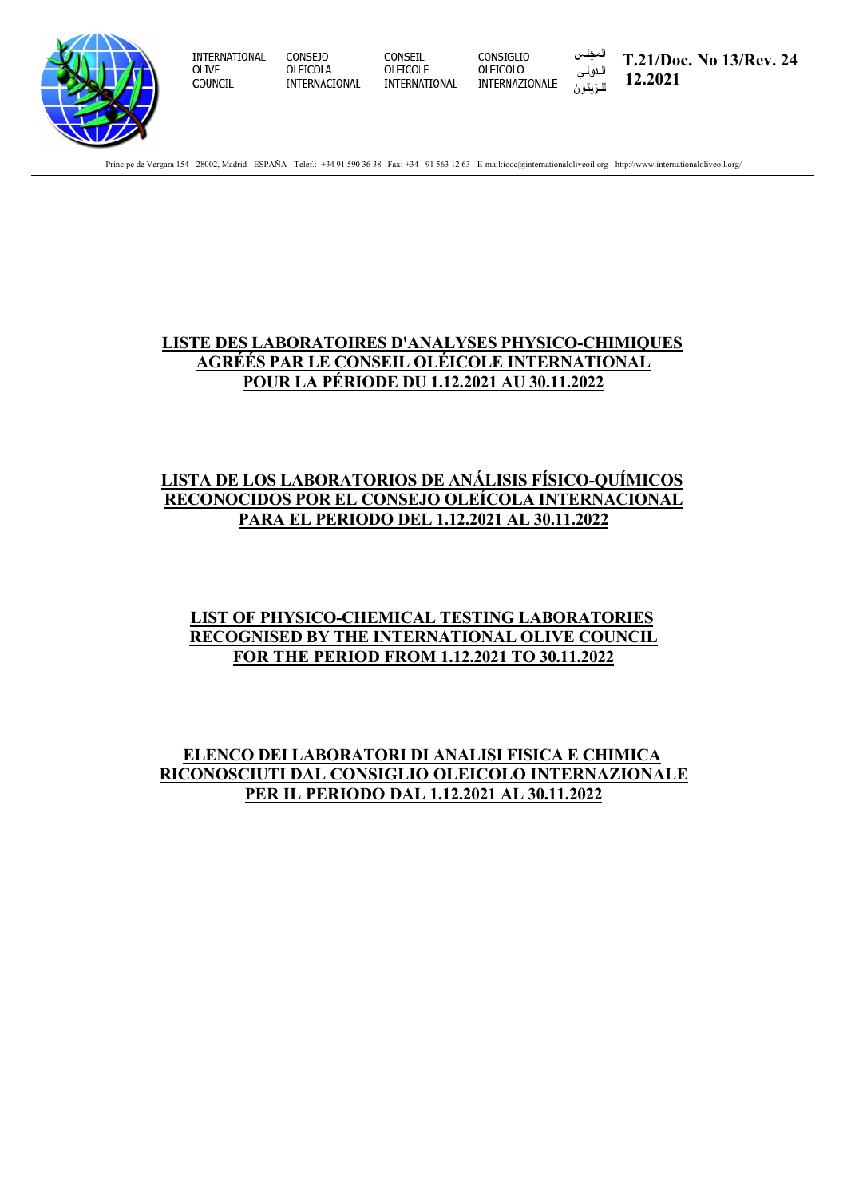INTERNATIONAL

OLIVE

COUNCIL

**CONSEJO** 

OLEICOLA

INTERNACIONAL

Príncipe de Vergara 154 - 28002, Madrid - ESPAÑA - Telef.: +34 91 590 36 38 Fax: +34 - 91 563 12 63 - E-mail:iooc@internationaloliveoil.org - http://www.internationaloliveoil.org/

INTERNATIONAL

CONSEIL

OLEICOLE

**T.21/Doc. No 13/Rev. 24**

**12.2021**

المجلس

للزيتون

CONSIGLIO

OLEICOLO

INTERNAZIONALE

# **LISTE DES LABORATOIRES D'ANALYSES PHYSICO-CHIMIQUES AGRÉÉS PAR LE CONSEIL OLÉICOLE INTERNATIONAL POUR LA PÉRIODE DU 1.12.2021 AU 30.11.2022**

# **LISTA DE LOS LABORATORIOS DE ANÁLISIS FÍSICO-QUÍMICOS RECONOCIDOS POR EL CONSEJO OLEÍCOLA INTERNACIONAL PARA EL PERIODO DEL 1.12.2021 AL 30.11.2022**

# **LIST OF PHYSICO-CHEMICAL TESTING LABORATORIES RECOGNISED BY THE INTERNATIONAL OLIVE COUNCIL FOR THE PERIOD FROM 1.12.2021 TO 30.11.2022**

**ELENCO DEI LABORATORI DI ANALISI FISICA E CHIMICA RICONOSCIUTI DAL CONSIGLIO OLEICOLO INTERNAZIONALE PER IL PERIODO DAL 1.12.2021 AL 30.11.2022**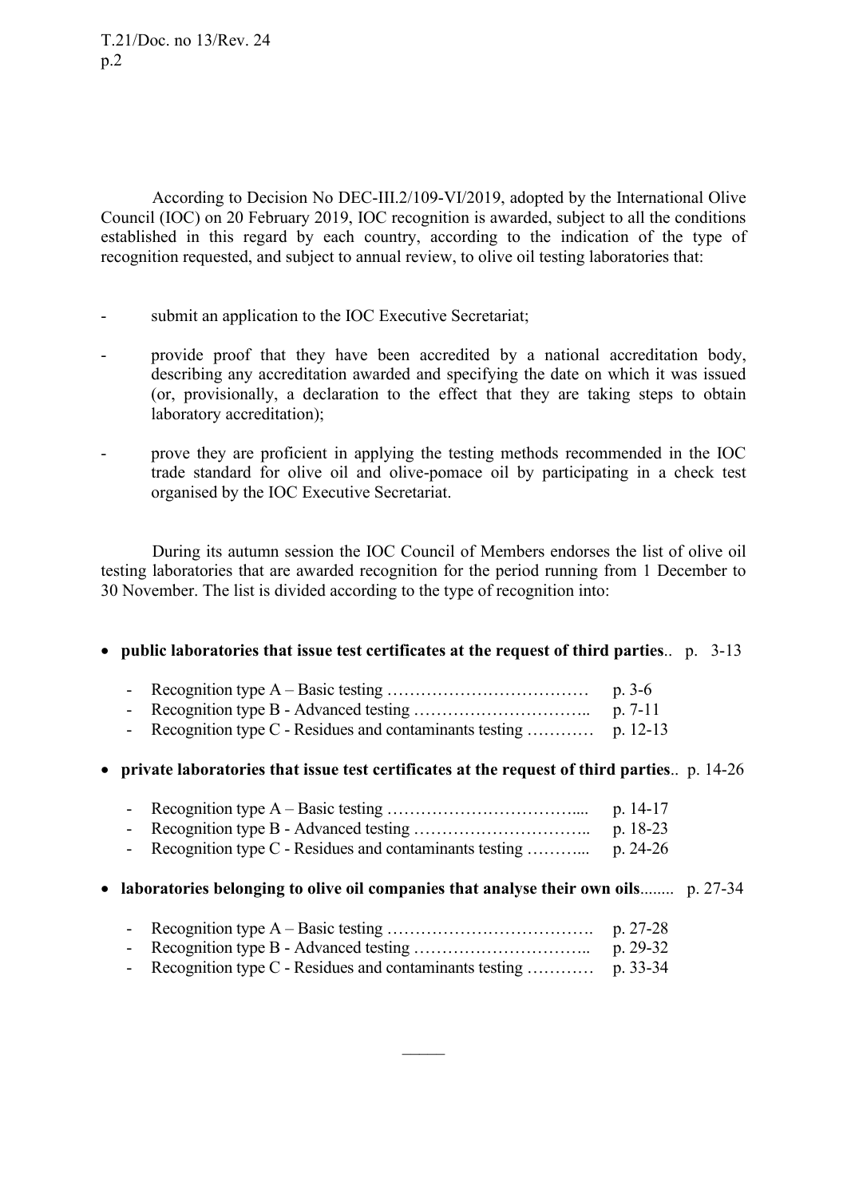According to Decision No DEC-III.2/109-VI/2019, adopted by the International Olive Council (IOC) on 20 February 2019, IOC recognition is awarded, subject to all the conditions established in this regard by each country, according to the indication of the type of recognition requested, and subject to annual review, to olive oil testing laboratories that:

- submit an application to the IOC Executive Secretariat;
- provide proof that they have been accredited by a national accreditation body, describing any accreditation awarded and specifying the date on which it was issued (or, provisionally, a declaration to the effect that they are taking steps to obtain laboratory accreditation);
- prove they are proficient in applying the testing methods recommended in the IOC trade standard for olive oil and olive-pomace oil by participating in a check test organised by the IOC Executive Secretariat.

During its autumn session the IOC Council of Members endorses the list of olive oil testing laboratories that are awarded recognition for the period running from 1 December to 30 November. The list is divided according to the type of recognition into:

#### • **public laboratories that issue test certificates at the request of third parties**.. p. 3-13

|  | $p. 3-6$ |
|--|----------|
|  |          |
|  |          |

### • **private laboratories that issue test certificates at the request of third parties**.. p. 14-26

- Recognition type C Residues and contaminants testing ………... p. 24-26
- **laboratories belonging to olive oil companies that analyse their own oils**........ p. 27-34
	- Recognition type A Basic testing ………………………………. p. 27-28 - Recognition type B - Advanced testing ………………………….. p. 29-32
	- Recognition type C Residues and contaminants testing ………… p. 33-34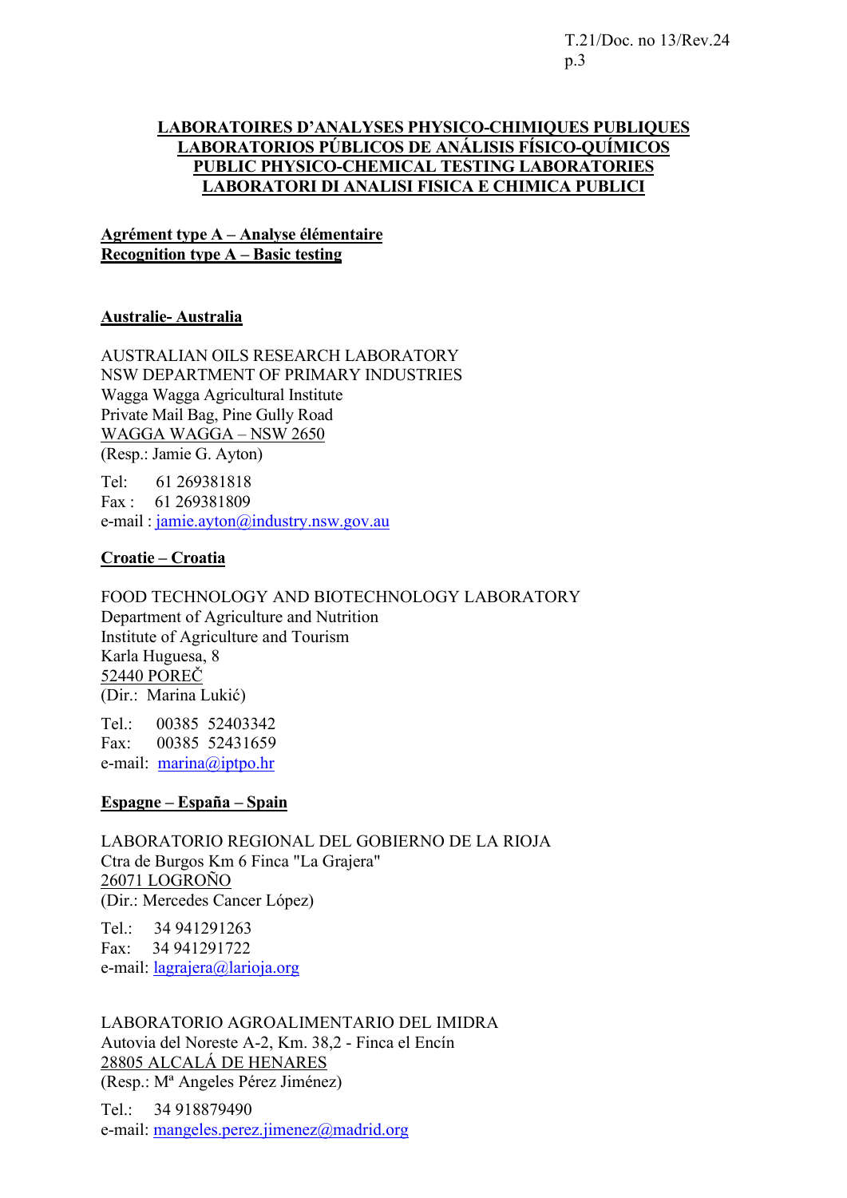# **LABORATOIRES D'ANALYSES PHYSICO-CHIMIQUES PUBLIQUES LABORATORIOS PÚBLICOS DE ANÁLISIS FÍSICO-QUÍMICOS PUBLIC PHYSICO-CHEMICAL TESTING LABORATORIES LABORATORI DI ANALISI FISICA E CHIMICA PUBLICI**

# **Agrément type A – Analyse élémentaire Recognition type A – Basic testing**

### **Australie- Australia**

AUSTRALIAN OILS RESEARCH LABORATORY NSW DEPARTMENT OF PRIMARY INDUSTRIES Wagga Wagga Agricultural Institute Private Mail Bag, Pine Gully Road WAGGA WAGGA – NSW 2650 (Resp.: Jamie G. Ayton)

Tel: 61 269381818 Fax : 61 269381809 e-mail : jamie.ayton@industry.nsw.gov.au

### **Croatie – Croatia**

FOOD TECHNOLOGY AND BIOTECHNOLOGY LABORATORY Department of Agriculture and Nutrition Institute of Agriculture and Tourism Karla Huguesa, 8 52440 POREČ (Dir.: Marina Lukić)

Tel.: 00385 52403342 Fax: 00385 52431659 e-mail: [marina@iptpo.hr](mailto:marina@iptpo.hr)

# **Espagne – España – Spain**

LABORATORIO REGIONAL DEL GOBIERNO DE LA RIOJA Ctra de Burgos Km 6 Finca "La Grajera" 26071 LOGROÑO (Dir.: Mercedes Cancer López)

Tel.: 34 941291263 Fax: 34 941291722 e-mail: *lagrajera@larioja.org* 

LABORATORIO AGROALIMENTARIO DEL IMIDRA Autovia del Noreste A-2, Km. 38,2 - Finca el Encín 28805 ALCALÁ DE HENARES (Resp.: Mª Angeles Pérez Jiménez)

Tel.: 34 918879490 e-mail: [mangeles.perez.jimenez@madrid.org](mailto:mangeles.perez.jimenez@madrid.org)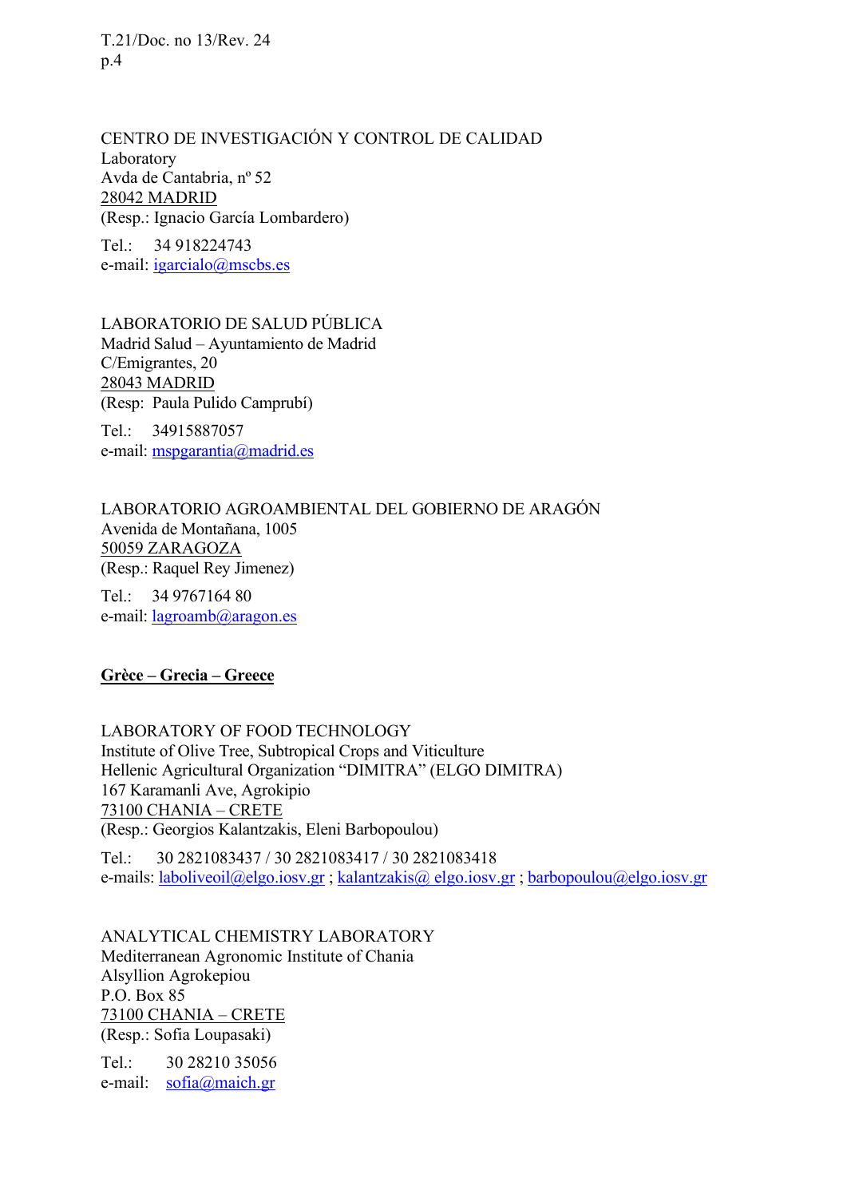CENTRO DE INVESTIGACIÓN Y CONTROL DE CALIDAD Laboratory Avda de Cantabria, nº 52 28042 MADRID (Resp.: Ignacio García Lombardero) Tel.: 34 918224743

e-mail: [igarcialo@mscbs.es](mailto:igarcialo@mscbs.es)

LABORATORIO DE SALUD PÚBLICA Madrid Salud – Ayuntamiento de Madrid C/Emigrantes, 20 28043 MADRID (Resp: Paula Pulido Camprubí)

Tel.: 34915887057 e-mail: [mspgarantia@madrid.es](mailto:mspgarantia@madrid.es)

LABORATORIO AGROAMBIENTAL DEL GOBIERNO DE ARAGÓN Avenida de Montañana, 1005 50059 ZARAGOZA (Resp.: Raquel Rey Jimenez)

Tel.: 34 9767164 80 e-mail: <u>lagroamb@aragon.es</u>

#### **Grèce – Grecia – Greece**

LABORATORY OF FOOD TECHNOLOGY Institute of Olive Tree, Subtropical Crops and Viticulture Hellenic Agricultural Organization "DIMITRA" (ELGO DIMITRA) 167 Karamanli Ave, Agrokipio 73100 CHANIA – CRETE (Resp.: Georgios Kalantzakis, Eleni Barbopoulou)

Tel.: 30 2821083437 / 30 2821083417 / 30 2821083418 e-mails: [laboliveoil@elgo.iosv.gr](mailto:laboliveoil@elgo.iosv.gr); kalantzakis@ elgo.iosv.gr; [barbopoulou@elgo.iosv.gr](mailto:barbopoulou@elgo.iosv.gr)

ANALYTICAL CHEMISTRY LABORATORY Mediterranean Agronomic Institute of Chania Alsyllion Agrokepiou P.O. Box 85 73100 CHANIA – CRETE (Resp.: Sofia Loupasaki)

Tel.: 30 28210 35056 e-mail: [sofia@maich.gr](mailto:sofia@maich.gr)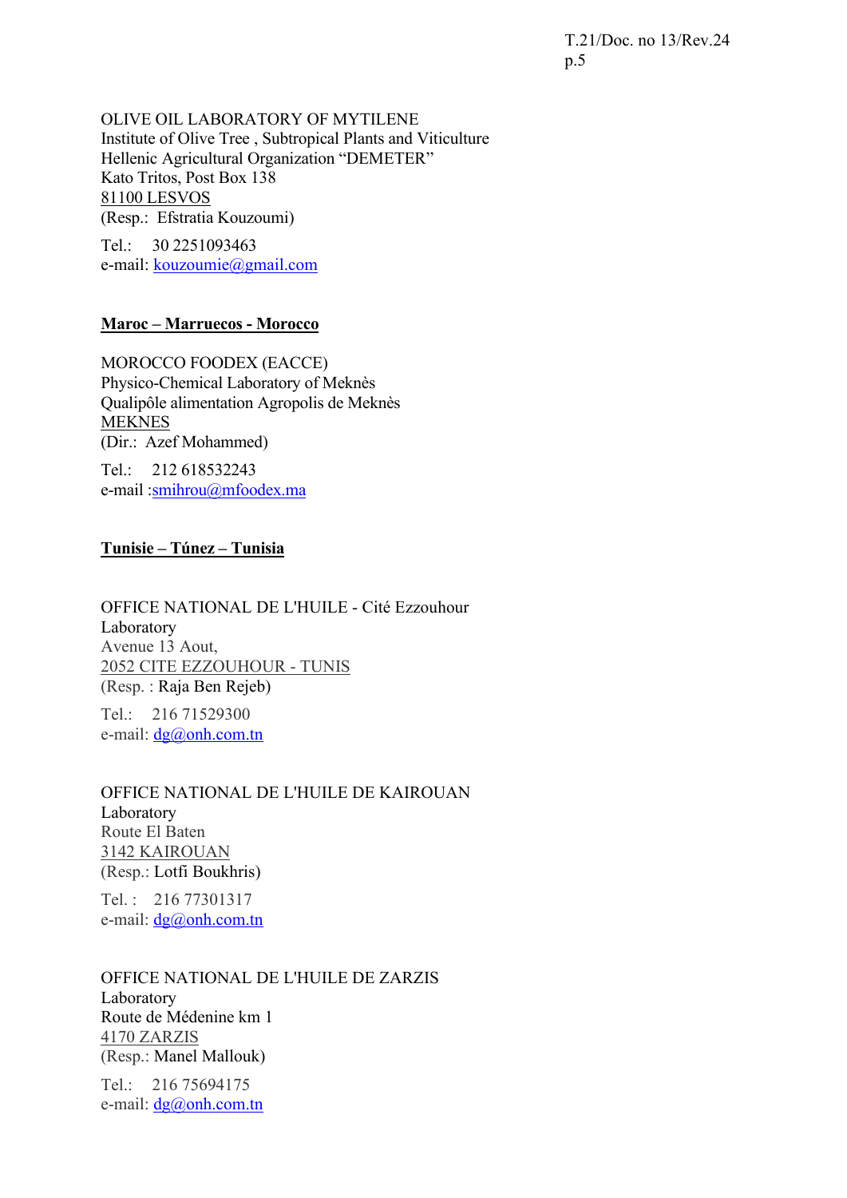OLIVE OIL LABORATORY OF MYTILENE Institute of Olive Tree , Subtropical Plants and Viticulture Hellenic Agricultural Organization "DEMETER" Kato Tritos, Post Box 138 81100 LESVOS (Resp.: Efstratia Kouzoumi)

Tel.: 30 2251093463 e-mail: [kouzoumie@gmail.com](mailto:kouzoumie@gmail.com)

### **Maroc – Marruecos - Morocco**

MOROCCO FOODEX (EACCE) Physico-Chemical Laboratory of Meknès Qualipôle alimentation Agropolis de Meknès MEKNES (Dir.: Azef Mohammed)

Tel.: 212 618532243 e-mail [:smihrou@mfoodex.ma](mailto:smihrou@mfoodex.ma)

# **Tunisie – Túnez – Tunisia**

OFFICE NATIONAL DE L'HUILE - Cité Ezzouhour Laboratory Avenue 13 Aout, 2052 CITE EZZOUHOUR - TUNIS (Resp. : Raja Ben Rejeb) Tel.: 216 71529300

e-mail: [dg@onh.com.tn](mailto:dg@onh.com.tn)

OFFICE NATIONAL DE L'HUILE DE KAIROUAN Laboratory Route El Baten 3142 KAIROUAN (Resp.: Lotfi Boukhris)

Tel. : 216 77301317 e-mail: [dg@onh.com.tn](mailto:dg@onh.com.tn)

OFFICE NATIONAL DE L'HUILE DE ZARZIS Laboratory Route de Médenine km 1 4170 ZARZIS (Resp.: Manel Mallouk)

Tel.: 216 75694175 e-mail:  $dg(\omega)$ onh.com.tn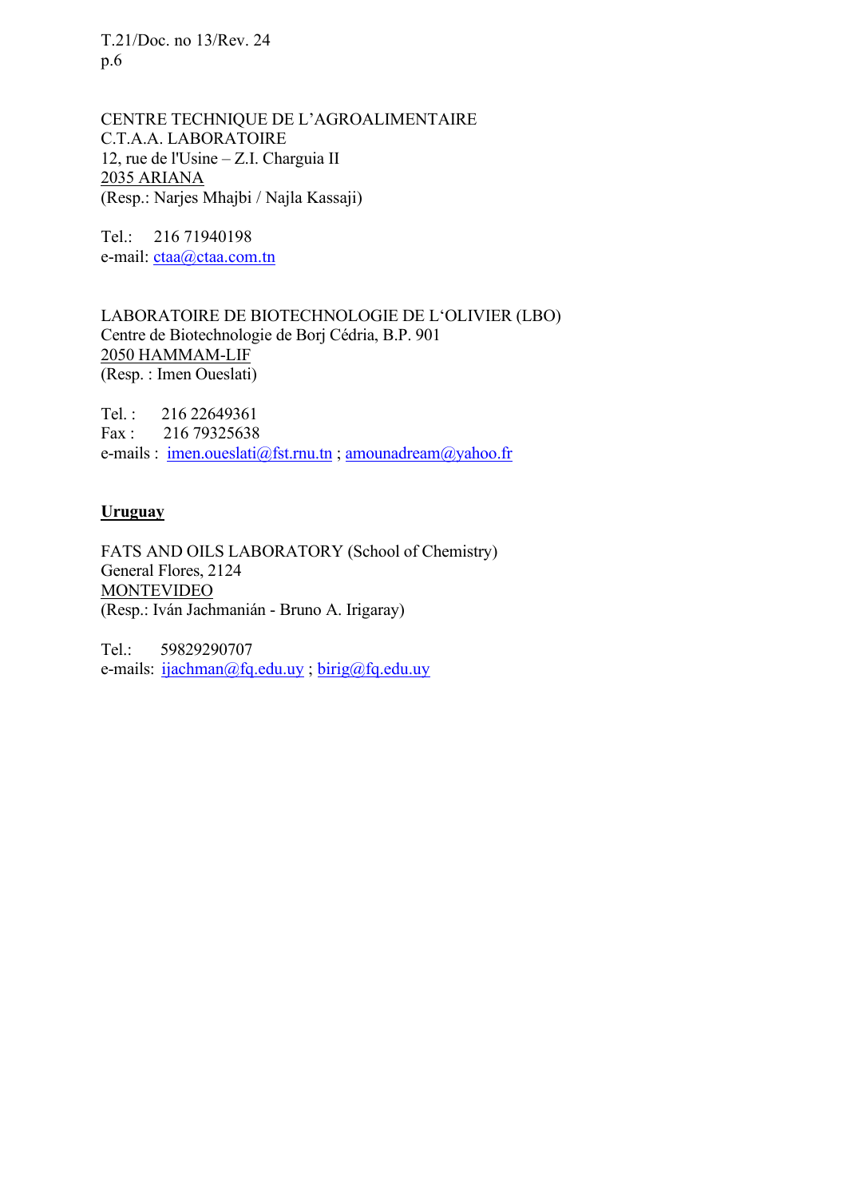CENTRE TECHNIQUE DE L'AGROALIMENTAIRE C.T.A.A. LABORATOIRE 12, rue de l'Usine – Z.I. Charguia II 2035 ARIANA (Resp.: Narjes Mhajbi / Najla Kassaji)

Tel.: 216 71940198 e-mail: [ctaa@ctaa.com.tn](mailto:ctaa@ctaa.com.tn)

LABORATOIRE DE BIOTECHNOLOGIE DE L'OLIVIER (LBO) Centre de Biotechnologie de Borj Cédria, B.P. 901 2050 HAMMAM-LIF (Resp. : Imen Oueslati)

Tel. : 216 22649361 Fax : 216 79325638 e-mails : [imen.oueslati@fst.rnu.tn](mailto:imen.oueslati@fst.rnu.tn) ; [amounadream@yahoo.fr](mailto:amounadream@yahoo.fr)

### **Uruguay**

FATS AND OILS LABORATORY (School of Chemistry) General Flores, 2124 MONTEVIDEO (Resp.: Iván Jachmanián - Bruno A. Irigaray)

Tel.: 59829290707 e-mails: [ijachman@fq.edu.uy](mailto:ijachman@fq.edu.uy) ; [birig@fq.edu.uy](mailto:birig@fq.edu.uy)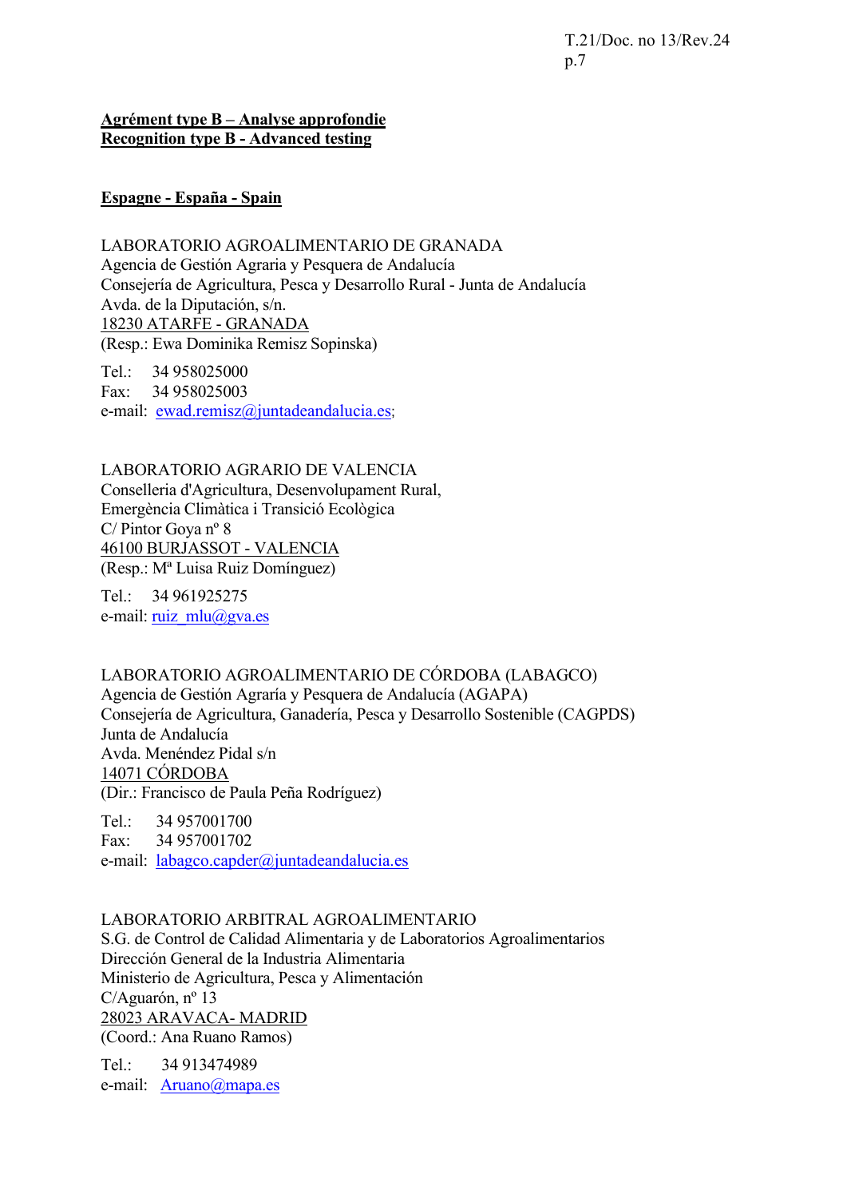**Agrément type B – Analyse approfondie Recognition type B - Advanced testing**

#### **Espagne - España - Spain**

LABORATORIO AGROALIMENTARIO DE GRANADA Agencia de Gestión Agraria y Pesquera de Andalucía Consejería de Agricultura, Pesca y Desarrollo Rural - Junta de Andalucía Avda. de la Diputación, s/n. 18230 ATARFE - GRANADA (Resp.: Ewa Dominika Remisz Sopinska)

Tel.: 34 958025000 Fax: 34 958025003 e-mail: [ewad.remisz@juntadeandalucia.es](mailto:ewad.remisz@juntadeandalucia.es);

LABORATORIO AGRARIO DE VALENCIA Conselleria d'Agricultura, Desenvolupament Rural, Emergència Climàtica i Transició Ecològica C/ Pintor Goya nº 8 46100 BURJASSOT - VALENCIA (Resp.: Mª Luisa Ruiz Domínguez)

Tel.: 34 961925275 e-mail: ruiz  $mlu@gva.es$ 

LABORATORIO AGROALIMENTARIO DE CÓRDOBA (LABAGCO) Agencia de Gestión Agraría y Pesquera de Andalucía (AGAPA) Consejería de Agricultura, Ganadería, Pesca y Desarrollo Sostenible (CAGPDS) Junta de Andalucía Avda. Menéndez Pidal s/n 14071 CÓRDOBA (Dir.: Francisco de Paula Peña Rodríguez)

Tel.: 34 957001700 Fax: 34 957001702 e-mail: [labagco.capder@juntadeandalucia.es](mailto:labagco.capder@juntadeandalucia.es)

LABORATORIO ARBITRAL AGROALIMENTARIO S.G. de Control de Calidad Alimentaria y de Laboratorios Agroalimentarios Dirección General de la Industria Alimentaria Ministerio de Agricultura, Pesca y Alimentación C/Aguarón, nº 13 28023 ARAVACA- MADRID (Coord.: Ana Ruano Ramos)

Tel.: 34 913474989 e-mail: [Aruano@mapa.es](mailto:Aruano@mapa.es)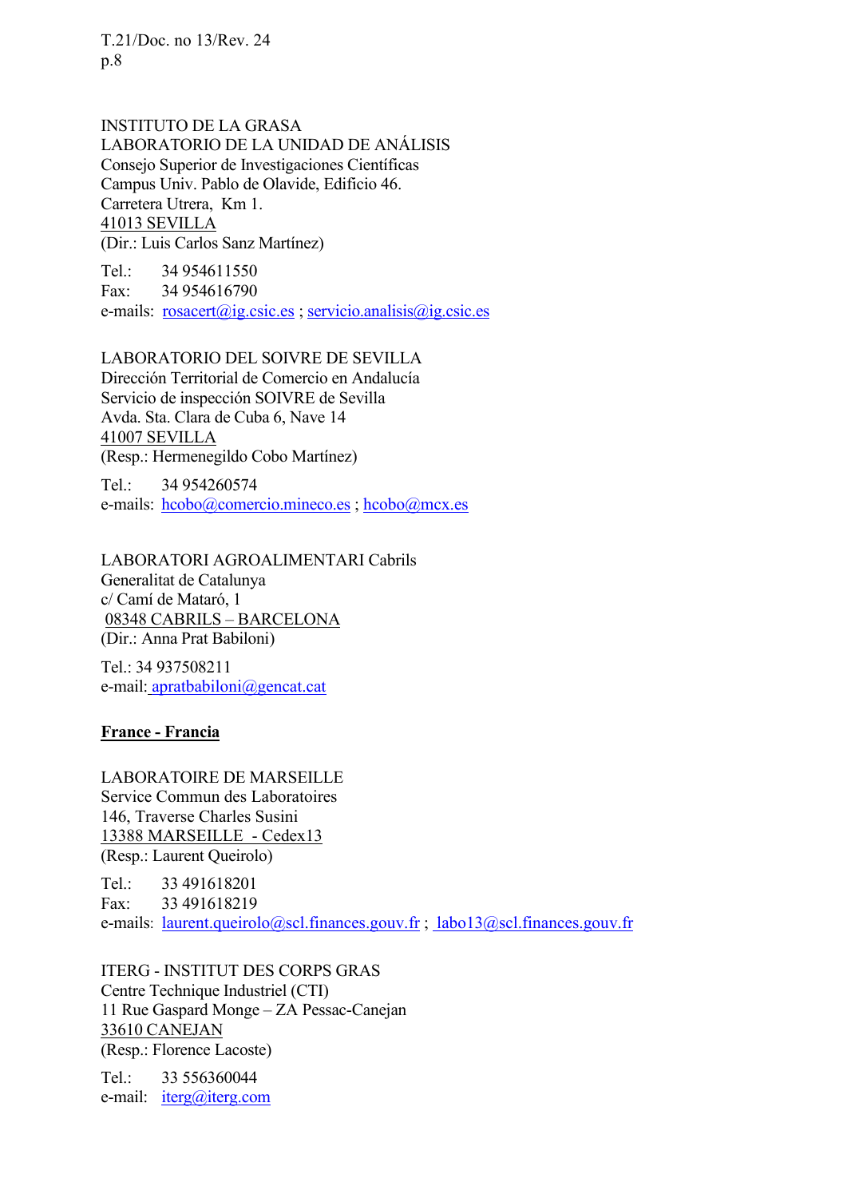INSTITUTO DE LA GRASA LABORATORIO DE LA UNIDAD DE ANÁLISIS Consejo Superior de Investigaciones Científicas Campus Univ. Pablo de Olavide, Edificio 46. Carretera Utrera, Km 1. 41013 SEVILLA (Dir.: Luis Carlos Sanz Martínez)

Tel.: 34 954611550 Fax: 34 954616790 e-mails: [rosacert@ig.csic.es](mailto:rosacert@ig.csic.es) ; [servicio.analisis@ig.csic.es](mailto:servicio.analisis@ig.csic.es)

LABORATORIO DEL SOIVRE DE SEVILLA Dirección Territorial de Comercio en Andalucía Servicio de inspección SOIVRE de Sevilla Avda. Sta. Clara de Cuba 6, Nave 14 41007 SEVILLA (Resp.: Hermenegildo Cobo Martínez)

Tel.: 34 954260574 e-mails: [hcobo@comercio.mineco.es](mailto:hcobo@comercio.mineco.es) ; [hcobo@mcx.es](mailto:hcobo@mcx.es)

LABORATORI AGROALIMENTARI Cabrils Generalitat de Catalunya c/ Camí de Mataró, 1 08348 CABRILS – BARCELONA (Dir.: Anna Prat Babiloni)

Tel.: 34 937508211 e-mail: apratbabiloni@gencat.cat

# **France - Francia**

LABORATOIRE DE MARSEILLE Service Commun des Laboratoires 146, Traverse Charles Susini 13388 MARSEILLE - Cedex13 (Resp.: Laurent Queirolo)

Tel.: 33 491618201 Fax: 33 491618219 e-mails: <u>[laurent.queirolo@scl.finances.gouv.fr](mailto:laurent.queirolo@scl.finances.gouv.fr)</u>; [labo13@scl.finances.gouv.fr](mailto:labo13@scl.finances.gouv.fr)

ITERG - INSTITUT DES CORPS GRAS Centre Technique Industriel (CTI) 11 Rue Gaspard Monge – ZA Pessac-Canejan 33610 CANEJAN (Resp.: Florence Lacoste)

Tel.: 33 556360044 e-mail: [iterg@iterg.com](mailto:iterg@iterg.com)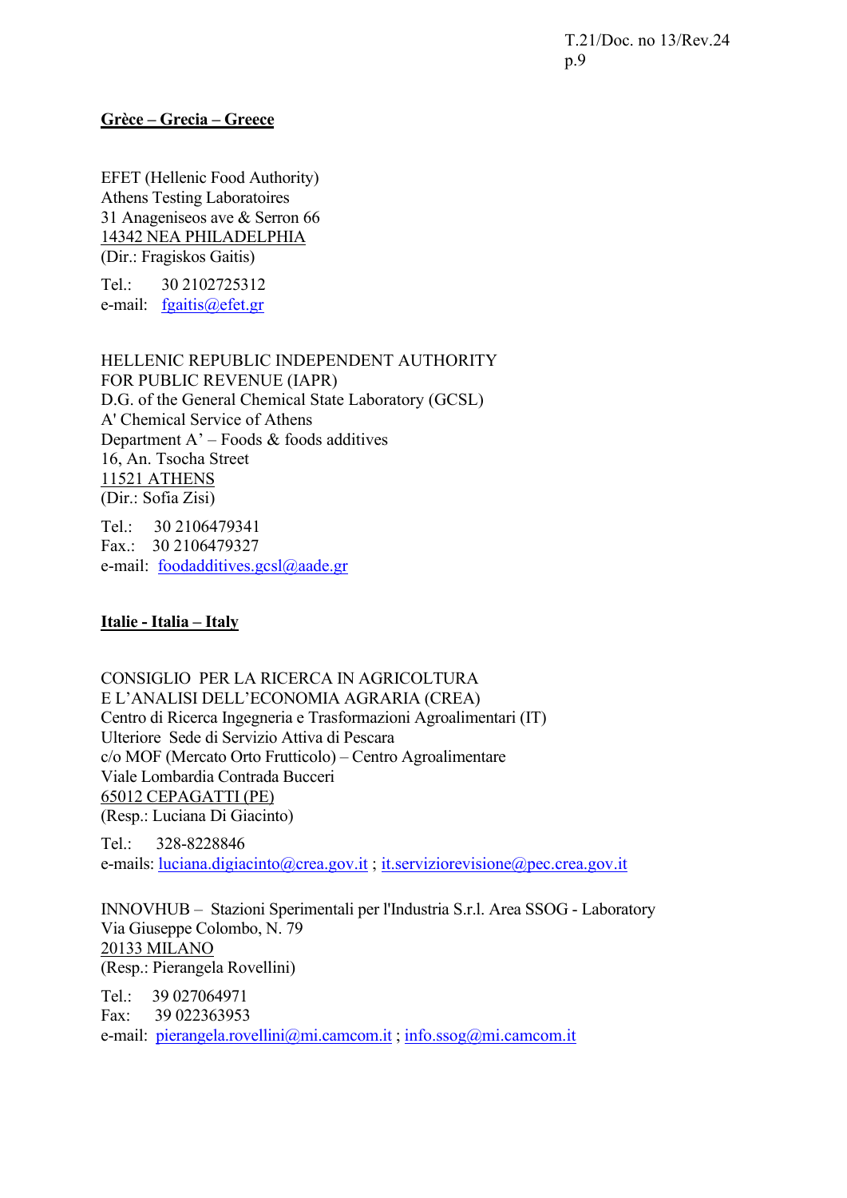**Grèce – Grecia – Greece**

EFET (Hellenic Food Authority) Athens Testing Laboratoires 31 Anageniseos ave & Serron 66 14342 NEA PHILADELPHIA (Dir.: Fragiskos Gaitis)

Tel.: 30 2102725312 e-mail: [fgaitis@efet.gr](mailto:fgaitis@efet.gr)

HELLENIC REPUBLIC INDEPENDENT AUTHORITY FOR PUBLIC REVENUE (IAPR) D.G. of the General Chemical State Laboratory (GCSL) A' Chemical Service of Athens Department  $A'$  – Foods & foods additives 16, An. Tsocha Street 11521 ATHENS (Dir.: Sofia Zisi)

Tel.: 30 2106479341 Fax.: 30 2106479327 e-mail: [foodadditives.gcsl@aade.gr](mailto:foodadditives.gcsl@aade.gr)

**Italie - Italia – Italy**

CONSIGLIO PER LA RICERCA IN AGRICOLTURA E L'ANALISI DELL'ECONOMIA AGRARIA (CREA) Centro di Ricerca Ingegneria e Trasformazioni Agroalimentari (IT) Ulteriore Sede di Servizio Attiva di Pescara c/o MOF (Mercato Orto Frutticolo) – Centro Agroalimentare Viale Lombardia Contrada Bucceri 65012 CEPAGATTI (PE) (Resp.: Luciana Di Giacinto)

Tel.: 328-8228846 e-mails: [luciana.digiacinto@crea.gov.it](mailto:luciana.digiacinto@crea.gov.it) ; [it.serviziorevisione@pec.crea.gov.it](mailto:it.serviziorevisione@pec.crea.gov.it)

INNOVHUB – Stazioni Sperimentali per l'Industria S.r.l. Area SSOG - Laboratory Via Giuseppe Colombo, N. 79 20133 MILANO (Resp.: Pierangela Rovellini) Tel.: 39 027064971 Fax: 39 022363953

e-mail: [pierangela.rovellini@mi.camcom.it](mailto:pierangela.rovellini@mi.camcom.it); [info.ssog@mi.camcom.it](mailto:info.ssog@mi.camcom.it)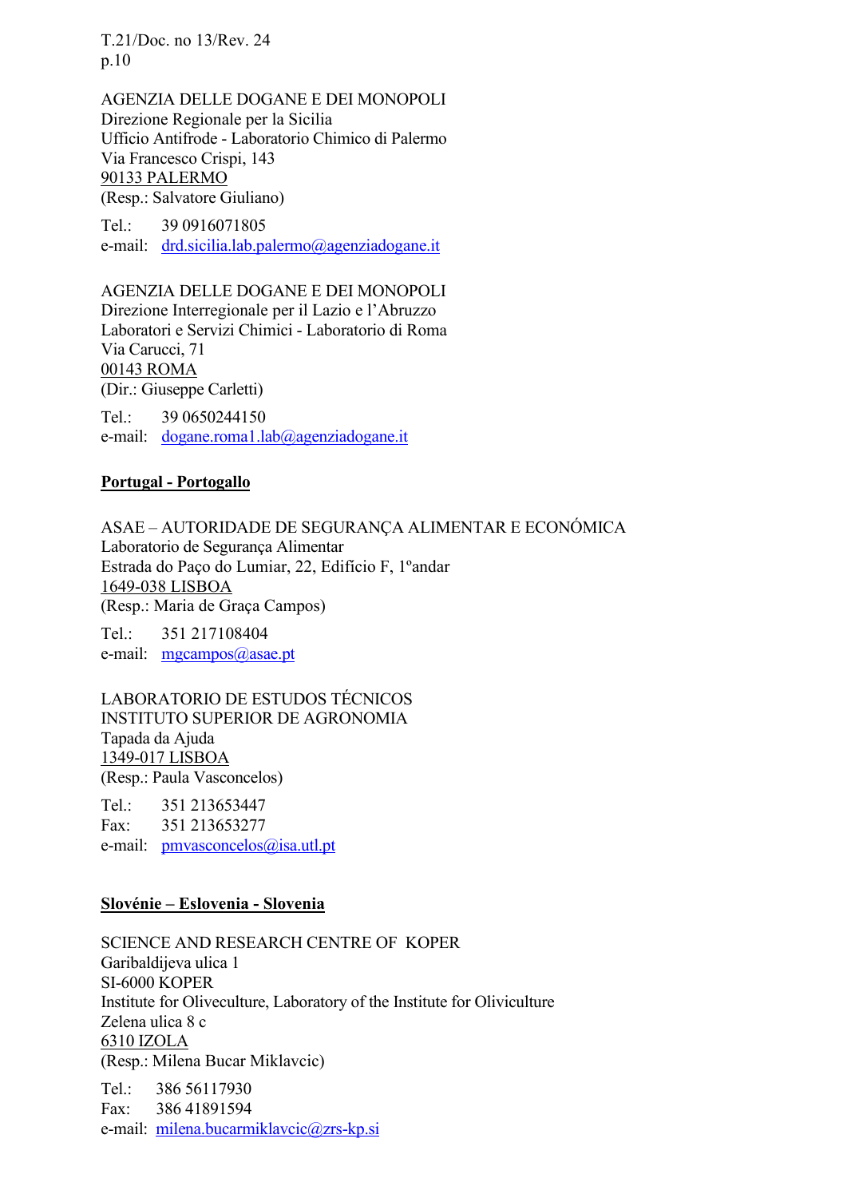AGENZIA DELLE DOGANE E DEI MONOPOLI Direzione Regionale per la Sicilia Ufficio Antifrode - Laboratorio Chimico di Palermo Via Francesco Crispi, 143 90133 PALERMO (Resp.: Salvatore Giuliano)

Tel.: 39 0916071805 e-mail: [drd.sicilia.lab.palermo@agenziadogane.it](mailto:drd.sicilia.lab.palermo@agenziadogane.it)

AGENZIA DELLE DOGANE E DEI MONOPOLI Direzione Interregionale per il Lazio e l'Abruzzo Laboratori e Servizi Chimici - Laboratorio di Roma Via Carucci, 71 00143 ROMA (Dir.: Giuseppe Carletti) Tel.: 39 0650244150 e-mail: [dogane.roma1.lab@agenziadogane.it](mailto:dogane.roma1.lab@agenziadogane.it)

#### **Portugal - Portogallo**

ASAE – AUTORIDADE DE SEGURANÇA ALIMENTAR E ECONÓMICA Laboratorio de Segurança Alimentar Estrada do Paço do Lumiar, 22, Edifício F, 1ºandar 1649-038 LISBOA (Resp.: Maria de Graça Campos)

Tel.: 351 217108404 e-mail: [mgcampos@asae.pt](mailto:mgcampos@asae.pt)

LABORATORIO DE ESTUDOS TÉCNICOS INSTITUTO SUPERIOR DE AGRONOMIA Tapada da Ajuda 1349-017 LISBOA (Resp.: Paula Vasconcelos)

Tel.: 351 213653447 Fax: 351 213653277 e-mail: [pmvasconcelos@isa.utl.pt](mailto:pmvasconcelos@isa.utl.pt)

#### **Slovénie – Eslovenia - Slovenia**

SCIENCE AND RESEARCH CENTRE OF KOPER Garibaldijeva ulica 1 SI-6000 KOPER Institute for Oliveculture, Laboratory of the Institute for Oliviculture Zelena ulica 8 c 6310 IZOLA (Resp.: Milena Bucar Miklavcic) Tel.: 386 56117930

Fax: 386 41891594 e-mail: [milena.bucarmiklavcic@zrs-kp.si](mailto:milena.bucarmiklavcic@zrs-kp.si)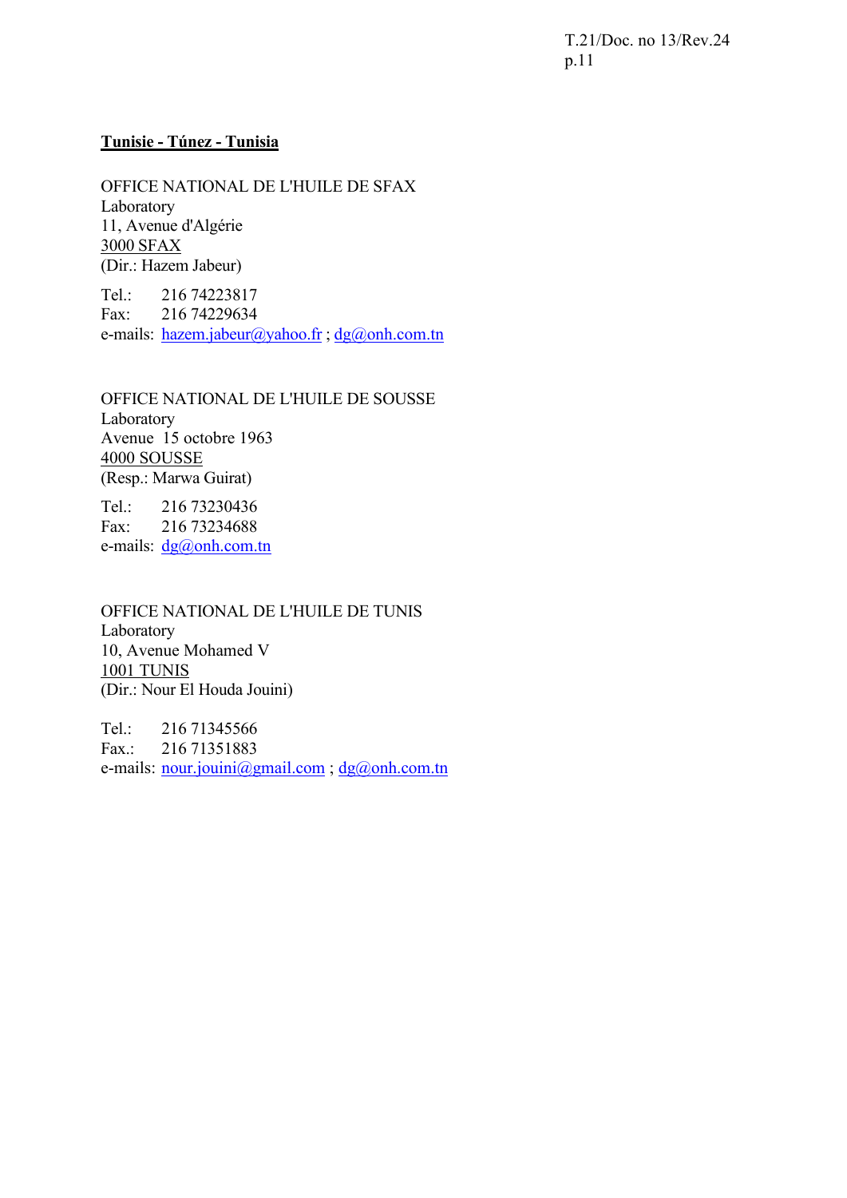#### **Tunisie - Túnez - Tunisia**

OFFICE NATIONAL DE L'HUILE DE SFAX Laboratory 11, Avenue d'Algérie 3000 SFAX (Dir.: Hazem Jabeur)

Tel.: 216 74223817 Fax: 216 74229634 e-mails: [hazem.jabeur@yahoo.fr](mailto:hazem.jabeur@yahoo.fr);  $dg@>oh.com.tn$ 

OFFICE NATIONAL DE L'HUILE DE SOUSSE Laboratory Avenue 15 octobre 1963 4000 SOUSSE (Resp.: Marwa Guirat)

Tel.: 216 73230436 Fax: 216 73234688 e-mails:  $\frac{dg(a)$ onh.com.tn

OFFICE NATIONAL DE L'HUILE DE TUNIS Laboratory 10, Avenue Mohamed V 1001 TUNIS (Dir.: Nour El Houda Jouini)

Tel.: 216 71345566 Fax.: 216 71351883 e-mails: [nour.jouini@gmail.com](mailto:nour.jouini@gmail.com) ; [dg@onh.com.tn](mailto:dg@onh.com.tn)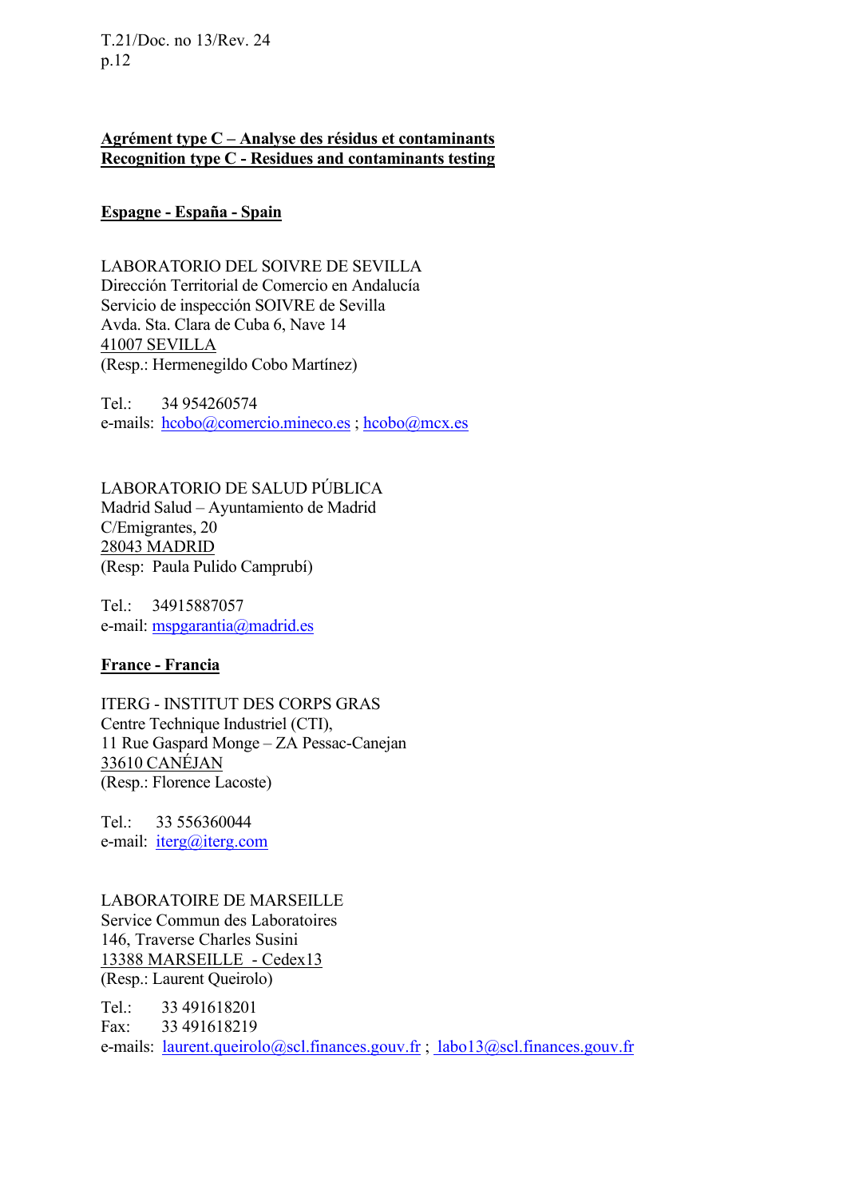**Agrément type C – Analyse des résidus et contaminants Recognition type C - Residues and contaminants testing**

**Espagne - España - Spain**

LABORATORIO DEL SOIVRE DE SEVILLA Dirección Territorial de Comercio en Andalucía Servicio de inspección SOIVRE de Sevilla Avda. Sta. Clara de Cuba 6, Nave 14 41007 SEVILLA (Resp.: Hermenegildo Cobo Martínez)

Tel.: 34 954260574 e-mails: [hcobo@comercio.mineco.es](mailto:hcobo@comercio.mineco.es) ; hcobo@mcx.es

LABORATORIO DE SALUD PÚBLICA Madrid Salud – Ayuntamiento de Madrid C/Emigrantes, 20 28043 MADRID (Resp: Paula Pulido Camprubí)

Tel.: 34915887057 e-mail: [mspgarantia@madrid.es](mailto:mspgarantia@madrid.es)

### **France - Francia**

ITERG - INSTITUT DES CORPS GRAS Centre Technique Industriel (CTI), 11 Rue Gaspard Monge – ZA Pessac-Canejan 33610 CANÉJAN (Resp.: Florence Lacoste)

Tel.: 33 556360044 e-mail: iterg@iterg.com

#### LABORATOIRE DE MARSEILLE

Service Commun des Laboratoires 146, Traverse Charles Susini 13388 MARSEILLE - Cedex13 (Resp.: Laurent Queirolo)

Tel.: 33 491618201 Fax: 33 491618219 e-mails: [laurent.queirolo@scl.finances.gouv.fr](mailto:laurent.queirolo@scl.finances.gouv.fr) ; [labo13@scl.finances.gouv.fr](mailto:labo13@scl.finances.gouv.fr)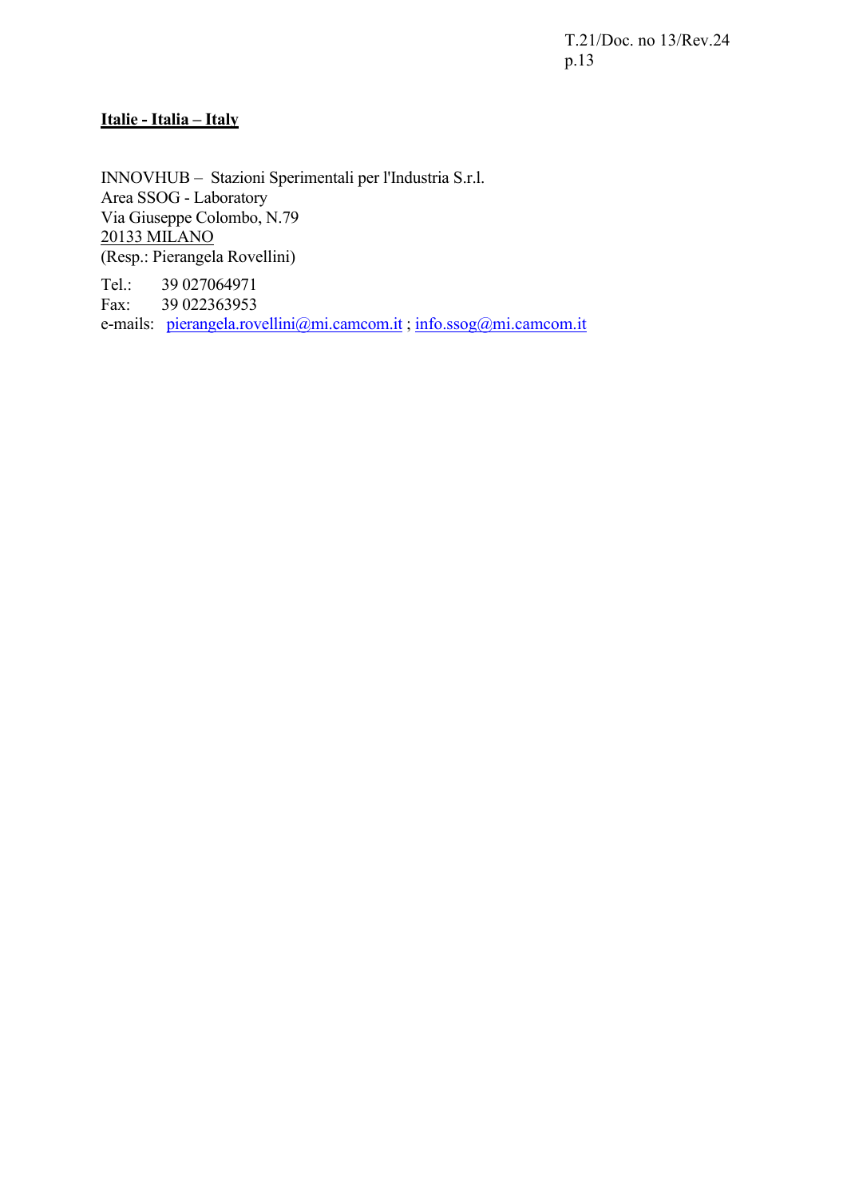# **Italie - Italia – Italy**

INNOVHUB – Stazioni Sperimentali per l'Industria S.r.l. Area SSOG - Laboratory Via Giuseppe Colombo, N.79 20133 MILANO (Resp.: Pierangela Rovellini)

Tel.: 39 027064971<br>Fax: 39 022363953 Fax: 39 022363953

e-mails: [pierangela.rovellini@mi.camcom.it](mailto:pierangela.rovellini@mi.camcom.it)[; info.ssog@mi.camcom.it](mailto:info.ssog@mi.camcom.it)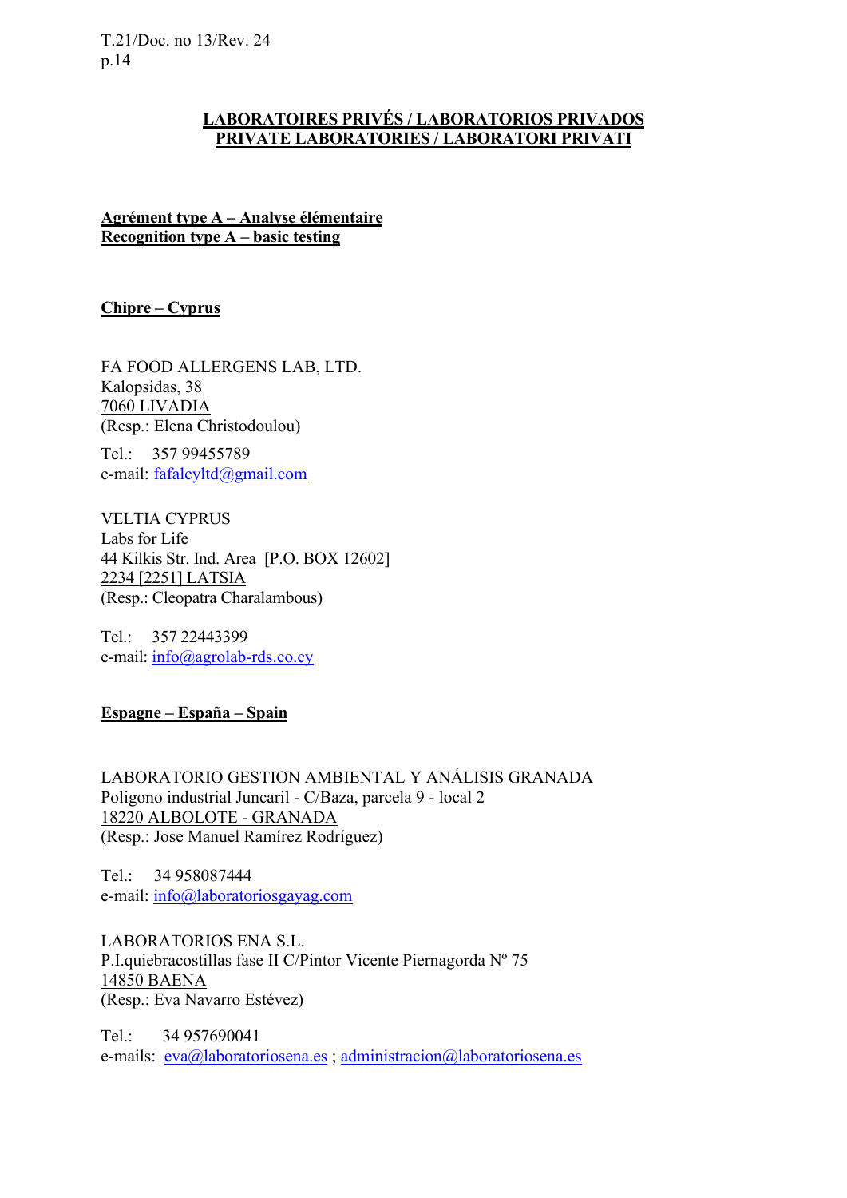### **LABORATOIRES PRIVÉS / LABORATORIOS PRIVADOS PRIVATE LABORATORIES / LABORATORI PRIVATI**

# **Agrément type A – Analyse élémentaire Recognition type A – basic testing**

**Chipre – Cyprus**

FA FOOD ALLERGENS LAB, LTD. Kalopsidas, 38 7060 LIVADIA (Resp.: Elena Christodoulou)

Tel.: 357 99455789 e-mail: [fafalcyltd@gmail.com](mailto:fafalcyltd@gmail.com)

VELTIA CYPRUS Labs for Life 44 Kilkis Str. Ind. Area [P.O. BOX 12602] 2234 [2251] LATSIA (Resp.: Cleopatra Charalambous)

Tel.: 357 22443399 e-mail[: info@agrolab-rds.co.cy](mailto:info@agrolab-rds.co.cy)

**Espagne – España – Spain**

LABORATORIO GESTION AMBIENTAL Y ANÁLISIS GRANADA Poligono industrial Juncaril - C/Baza, parcela 9 - local 2 18220 ALBOLOTE - GRANADA (Resp.: Jose Manuel Ramírez Rodríguez)

Tel.: 34 958087444 e-mail: [info@laboratoriosgayag.com](mailto:info@laboratoriosgayag.com)

LABORATORIOS ENA S.L. P.I.quiebracostillas fase II C/Pintor Vicente Piernagorda Nº 75 14850 BAENA (Resp.: Eva Navarro Estévez)

Tel.: 34 957690041 e-mails: [eva@laboratoriosena.es](mailto:eva@laboratoriosena.es) ; [administracion@laboratoriosena.es](mailto:administracion@laboratoriosena.es)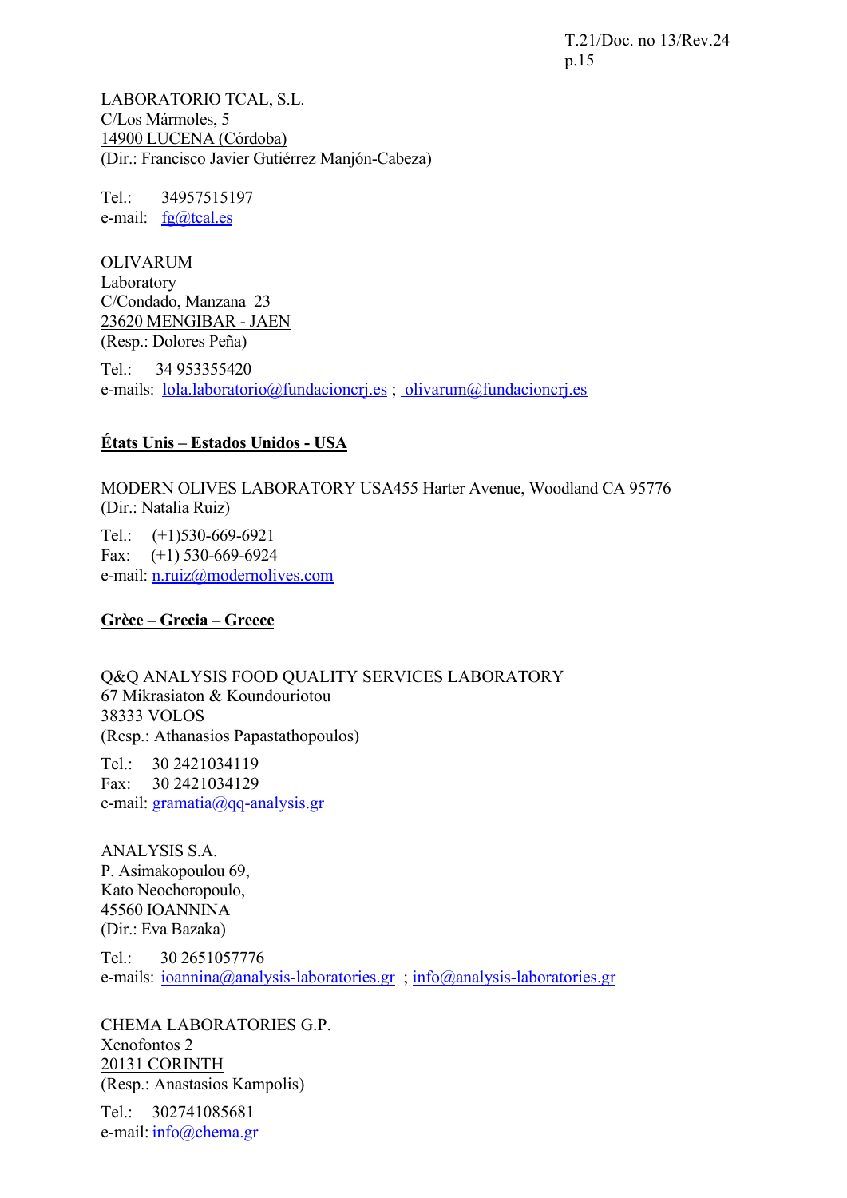LABORATORIO TCAL, S.L. C/Los Mármoles, 5 14900 LUCENA (Córdoba) (Dir.: Francisco Javier Gutiérrez Manjón-Cabeza)

Tel.: 34957515197 e-mail: [fg@tcal.es](mailto:fg@tcal.es)

OLIVARUM Laboratory C/Condado, Manzana 23 23620 MENGIBAR - JAEN (Resp.: Dolores Peña) Tel.: 34 953355420 e-mails: [lola.laboratorio@fundacioncrj.es](mailto:lola.laboratorio@fundacioncrj.es) ; [olivarum@fundacioncrj.es](mailto:olivarum@fundacioncrj.es)

# **États Unis – Estados Unidos - USA**

MODERN OLIVES LABORATORY USA455 Harter Avenue, Woodland CA 95776 (Dir.: Natalia Ruiz)

Tel.: (+1)530-669-6921 Fax: (+1) 530-669-6924 e-mail: [n.ruiz@modernolives.com](mailto:n.ruiz@modernolives.com)

**Grèce – Grecia – Greece**

Q&Q ANALYSIS FOOD QUALITY SERVICES LABORATORY 67 Mikrasiaton & Koundouriotou 38333 VOLOS (Resp.: Athanasios Papastathopoulos) Tel.: 30 2421034119 Fax: 30 2421034129 e-mail: [gramatia@qq-analysis.gr](mailto:gramatia@qq-analysis.gr)

ANALYSIS S.A. P. Asimakopoulou 69, Kato Neochoropoulo, 45560 IOANNINA (Dir.: Eva Bazaka) Tel.: 30 2651057776 e-mails: [ioannina@analysis-laboratories.gr](mailto:ioannina@analysis-laboratories.gr) ; inf[o@analysis-laboratories.gr](mailto:ioannina@analysis-laboratories.gr)

CHEMA LABORATORIES G.P. Xenofontos 2 20131 CORINTH (Resp.: Anastasios Kampolis)

Tel.: 302741085681 e-mail: [info@chema.gr](mailto:info@chema.gr)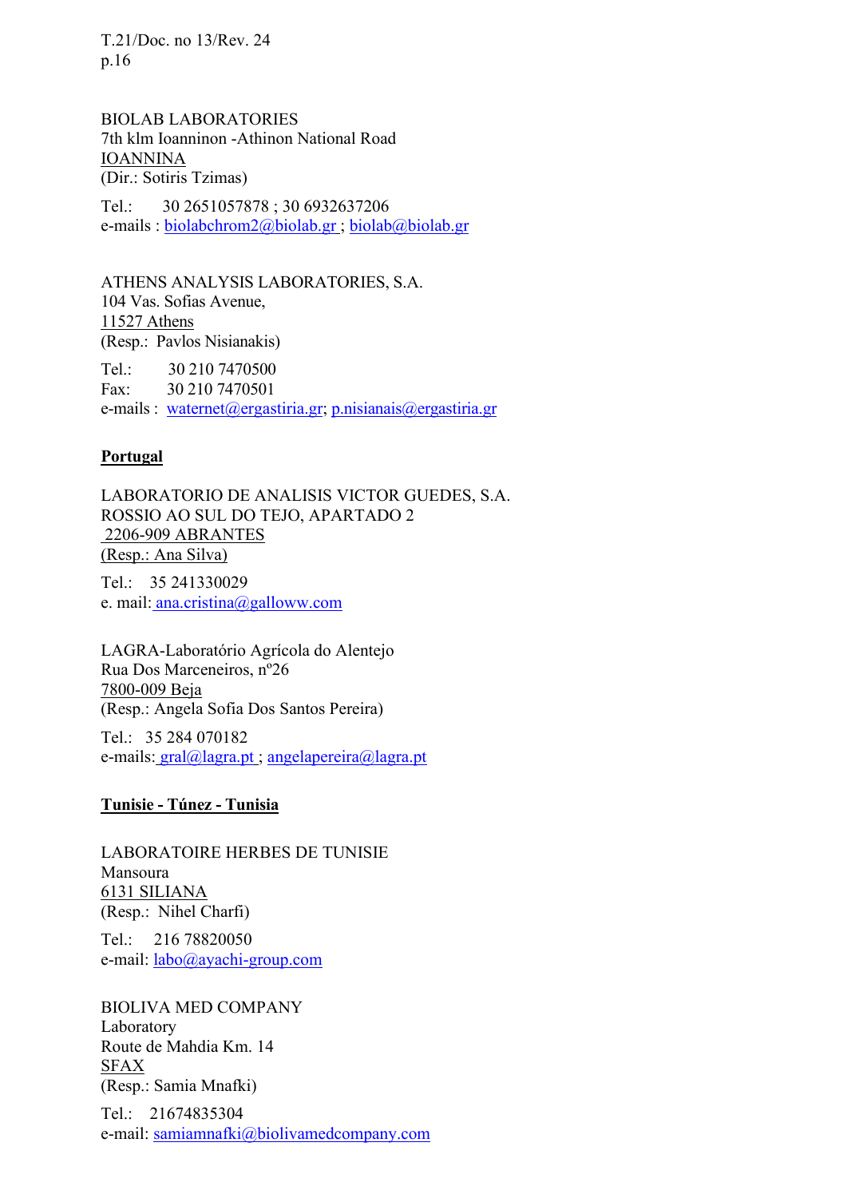BIOLAB LABORATORIES 7th klm Ioanninon -Athinon National Road IOANNINA (Dir.: Sotiris Tzimas)

Tel.: 30 2651057878 ; 30 6932637206 e-mails : biolabchrom2@biolab.gr ; [biolab@biolab.gr](mailto:biolab@biolab.gr)

ATHENS ANALYSIS LABORATORIES, S.A. 104 Vas. Sofias Avenue, 11527 Athens (Resp.: Pavlos Nisianakis) Tel.: 30 210 7470500 Fax: 30 210 7470501 e-mails : waternet@ergastiria.gr; [p.nisianais@ergastiria.gr](mailto:p.nisianais@ergastiria.gr)

#### **Portugal**

LABORATORIO DE ANALISIS VICTOR GUEDES, S.A. ROSSIO AO SUL DO TEJO, APARTADO 2 2206-909 ABRANTES (Resp.: Ana Silva)

Tel.: 35 241330029 e. mail: ana.cristina@galloww.com

LAGRA-Laboratório Agrícola do Alentejo Rua Dos Marceneiros, nº26 7800-009 Beja (Resp.: Angela Sofia Dos Santos Pereira) Tel.: 35 284 070182 e-mails: gral@lagra.pt; angelapereira@lagra.pt

#### **Tunisie - Túnez - Tunisia**

LABORATOIRE HERBES DE TUNISIE Mansoura 6131 SILIANA (Resp.: Nihel Charfi) Tel.: 216 78820050 e-mail: [labo@ayachi-group.com](mailto:labo@ayachi-group.com)

BIOLIVA MED COMPANY Laboratory Route de Mahdia Km. 14 SFAX (Resp.: Samia Mnafki)

Tel.: 21674835304 e-mail: [samiamnafki@biolivamedcompany.com](mailto:samiamnafki@biolivamedcompany.com)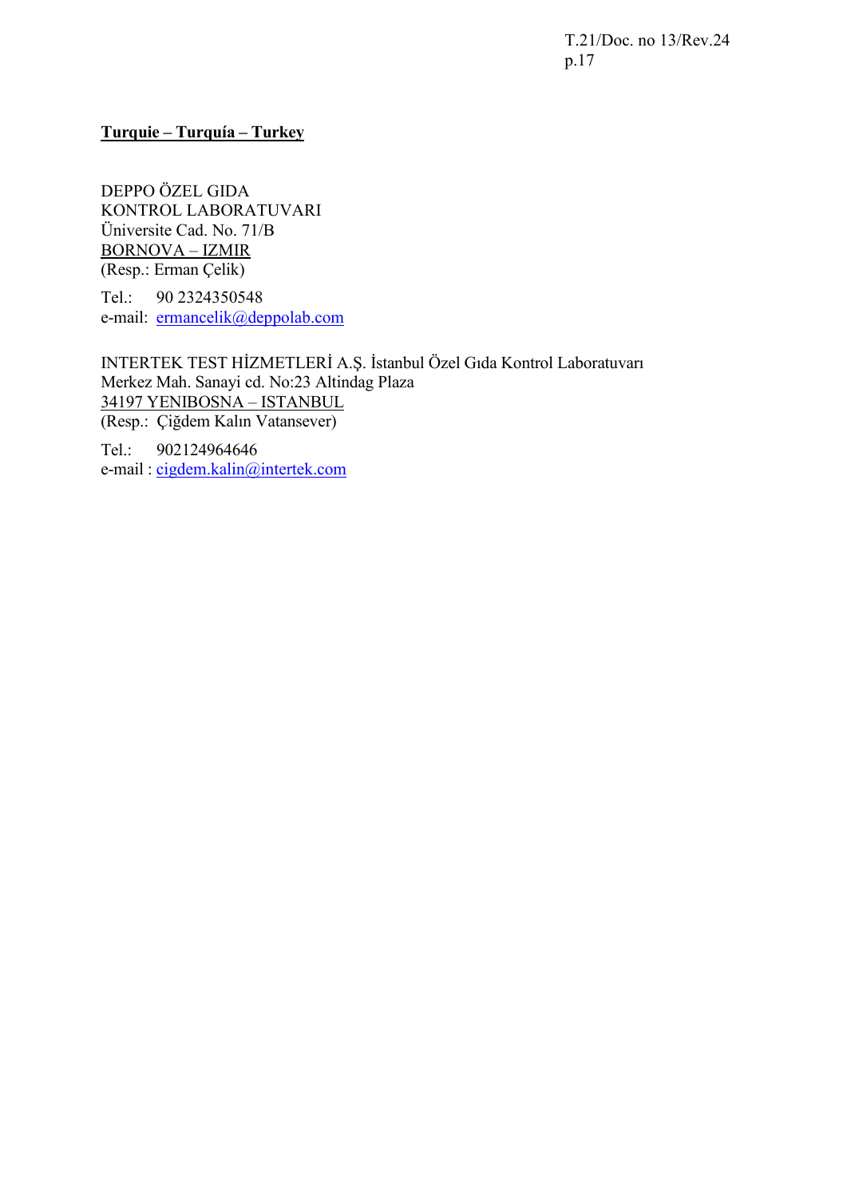**Turquie – Turquía – Turkey** 

DEPPO ÖZEL GIDA KONTROL LABORATUVARI Üniversite Cad. No. 71/B BORNOVA – IZMIR (Resp.: Erman Çelik)

Tel.: 90 2324350548 e-mail: [ermancelik@deppolab.com](mailto:ermancelik@deppolab.com)

INTERTEK TEST HİZMETLERİ A.Ş. İstanbul Özel Gıda Kontrol Laboratuvarı Merkez Mah. Sanayi cd. No:23 Altindag Plaza 34197 YENIBOSNA – ISTANBUL (Resp.: Çiğdem Kalın Vatansever)

Tel.: 902124964646 e-mail : cigdem.kalin@intertek.com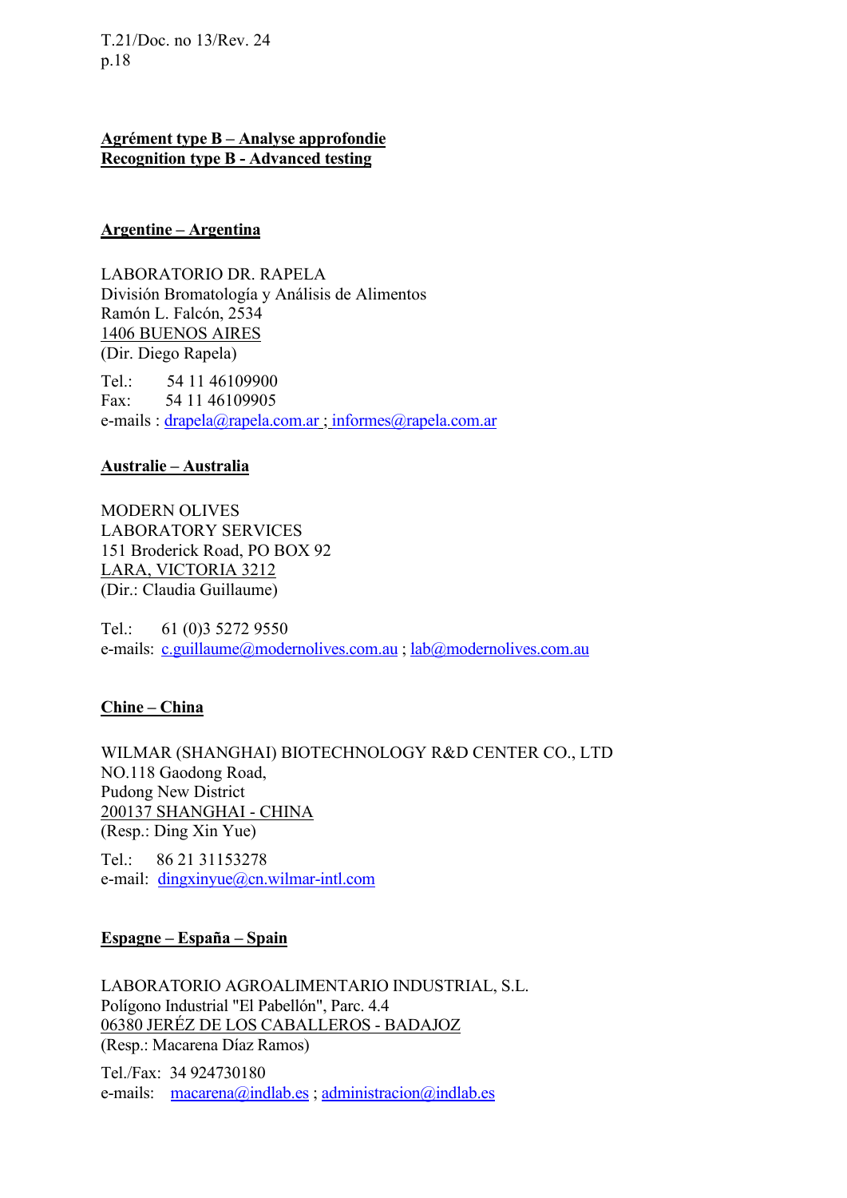### **Agrément type B – Analyse approfondie Recognition type B - Advanced testing**

#### **Argentine – Argentina**

LABORATORIO DR. RAPELA División Bromatología y Análisis de Alimentos Ramón L. Falcón, 2534 1406 BUENOS AIRES (Dir. Diego Rapela)

Tel.: 54 11 46109900 Fax: 54 11 46109905 e-mails : [drapela@rapela.com.ar](mailto:drapela@rapela.com.ar) ; informes@rapela.com.ar

#### **Australie – Australia**

MODERN OLIVES LABORATORY SERVICES 151 Broderick Road, PO BOX 92 LARA, VICTORIA 3212 (Dir.: Claudia Guillaume)

Tel.: 61 (0)3 5272 9550 e-mails: [c.guillaume@modernolives.com.au](mailto:c.guillaume@modernolives.com.au) ; [lab@modernolives.com.au](mailto:lab@modernolives.com.au)

# **Chine – China**

WILMAR (SHANGHAI) BIOTECHNOLOGY R&D CENTER CO., LTD NO.118 Gaodong Road, Pudong New District 200137 SHANGHAI - CHINA (Resp.: Ding Xin Yue) Tel.: 86 21 31153278 e-mail: dingxinyue@cn.wilmar-intl.com

#### **Espagne – España – Spain**

LABORATORIO AGROALIMENTARIO INDUSTRIAL, S.L. Polígono Industrial "El Pabellón", Parc. 4.4 06380 JERÉZ DE LOS CABALLEROS - BADAJOZ (Resp.: Macarena Díaz Ramos)

Tel./Fax: 34 924730180 e-mails: [macarena@indlab.es](mailto:macarena@indlab.es) ; [administracion@indlab.es](mailto:administracion@indlab.es)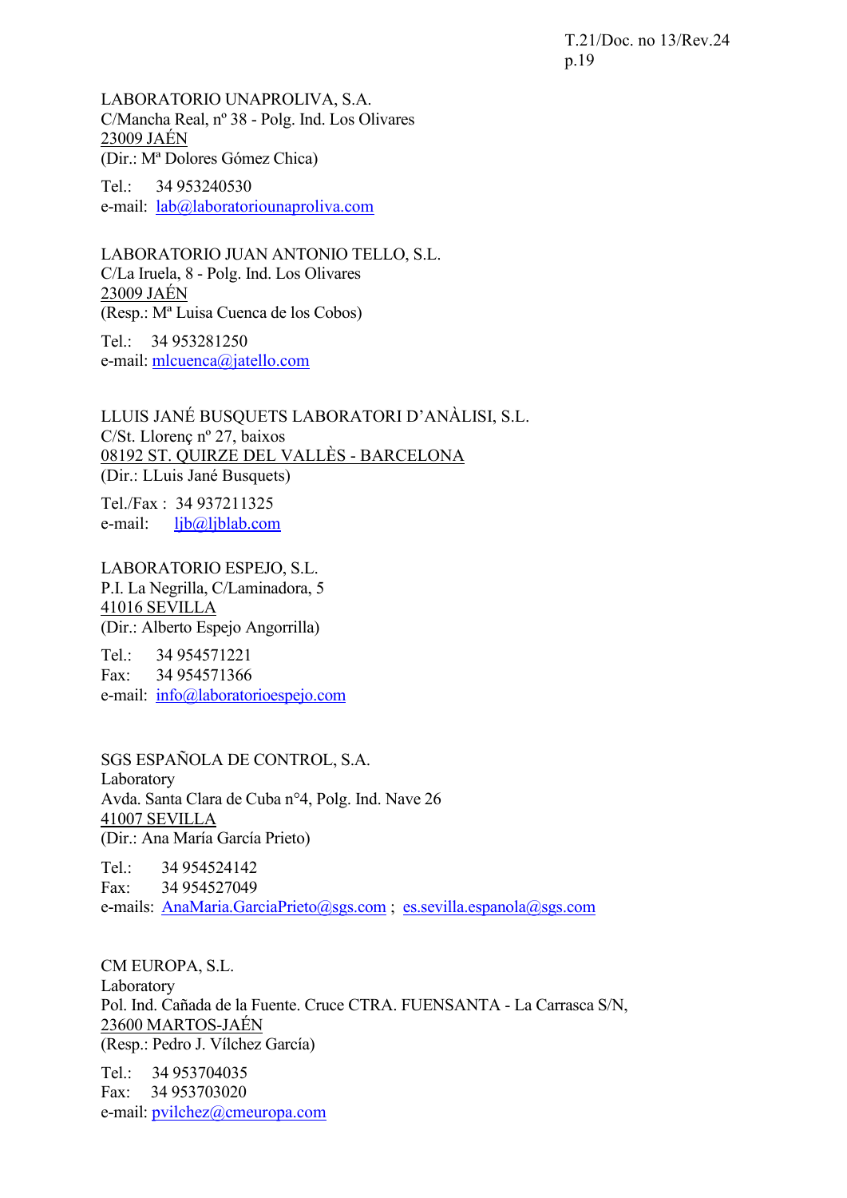LABORATORIO UNAPROLIVA, S.A. C/Mancha Real, nº 38 - Polg. Ind. Los Olivares 23009 JAÉN (Dir.: Mª Dolores Gómez Chica)

Tel.: 34 953240530 e-mail: [lab@laboratoriounaproliva.com](mailto:lab@laboratoriounaproliva.com)

LABORATORIO JUAN ANTONIO TELLO, S.L. C/La Iruela, 8 - Polg. Ind. Los Olivares 23009 JAÉN (Resp.: Mª Luisa Cuenca de los Cobos)

Tel.: 34 953281250 e-mail: mlcuenca@jatello.com

LLUIS JANÉ BUSQUETS LABORATORI D'ANÀLISI, S.L. C/St. Llorenç nº 27, baixos 08192 ST. QUIRZE DEL VALLÈS - BARCELONA (Dir.: LLuis Jané Busquets)

Tel./Fax : 34 937211325 e-mail: [ljb@ljblab.com](mailto:ljb@ljblab.com)

LABORATORIO ESPEJO, S.L. P.I. La Negrilla, C/Laminadora, 5 41016 SEVILLA (Dir.: Alberto Espejo Angorrilla)

Tel.: 34 954571221 Fax: 34 954571366 e-mail: [info@laboratorioespejo.com](mailto:info@laboratorioespejo.com)

SGS ESPAÑOLA DE CONTROL, S.A. Laboratory Avda. Santa Clara de Cuba n°4, Polg. Ind. Nave 26 41007 SEVILLA (Dir.: Ana María García Prieto)

Tel.: 34 954524142 Fax: 34 954527049 e-mails: [AnaMaria.GarciaPrieto@sgs.com](mailto:AnaMaria.GarciaPrieto@sgs.com) ; [es.sevilla.espanola@sgs.com](mailto:es.sevilla.espanola@sgs.com)

CM EUROPA, S.L. Laboratory Pol. Ind. Cañada de la Fuente. Cruce CTRA. FUENSANTA - La Carrasca S/N, 23600 MARTOS-JAÉN (Resp.: Pedro J. Vílchez García)

Tel.: 34 953704035 Fax: 34 953703020 e-mail: pvilchez@cmeuropa.com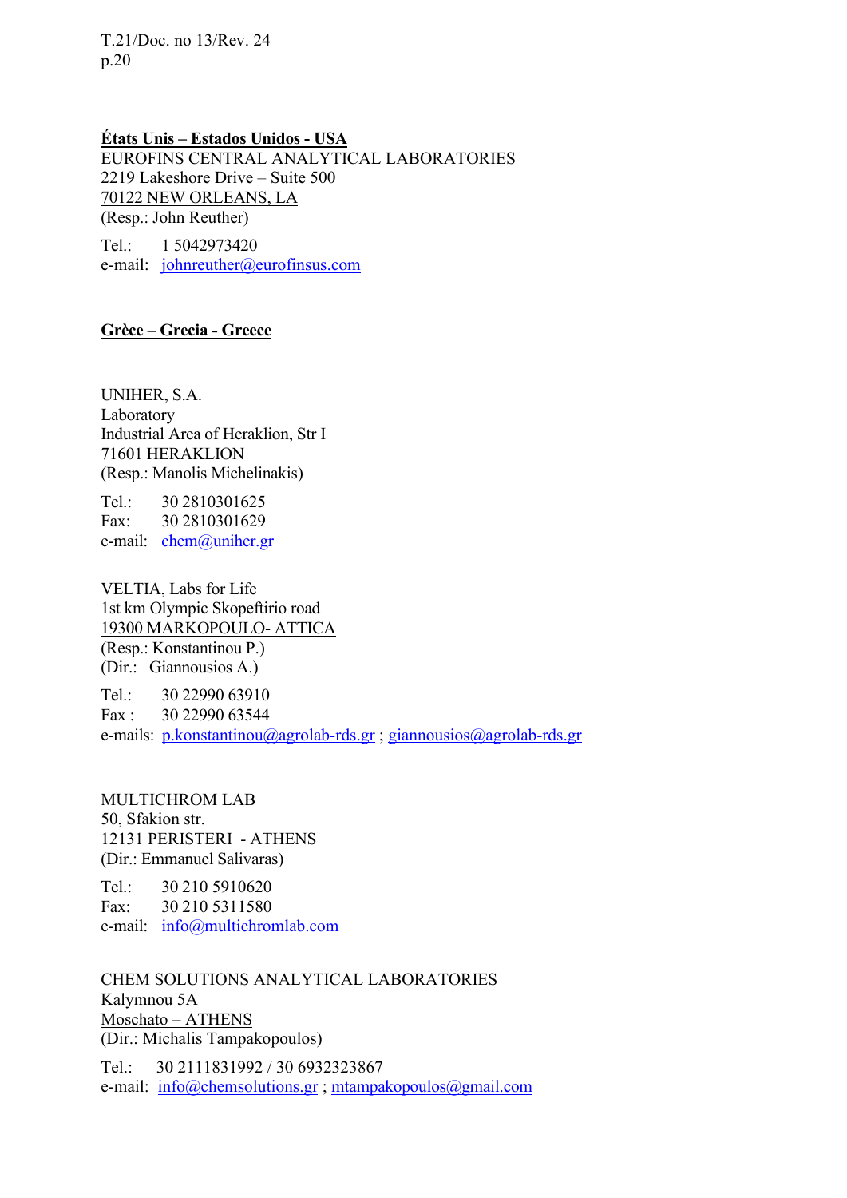**États Unis – Estados Unidos - USA** EUROFINS CENTRAL ANALYTICAL LABORATORIES 2219 Lakeshore Drive – Suite 500 70122 NEW ORLEANS, LA (Resp.: John Reuther) Tel.: 1 5042973420

e-mail: [johnreuther@eurofinsus.com](mailto:johnreuther@eurofinsus.com)

# **Grèce – Grecia - Greece**

UNIHER, S.A. Laboratory Industrial Area of Heraklion, Str I 71601 HERAKLION (Resp.: Manolis Michelinakis)

Tel.: 30 2810301625 Fax: 30 2810301629 e-mail: [chem@uniher.gr](mailto:chem@uniher.gr)

VELTIA, Labs for Life 1st km Olympic Skopeftirio road 19300 MARKOPOULO- ATTICA (Resp.: Konstantinou P.) (Dir.: Giannousios A.) Tel.: 30 22990 63910 Fax : 30 22990 63544 e-mails: [p.konstantinou@agrolab-rds.gr](mailto:p.konstantinou@agrolab-rds.gr) ; [giannousios@agrolab-rds.gr](mailto:giannousios@agrolab-rds.gr)

MULTICHROM LAB 50, Sfakion str. 12131 PERISTERI - ATHENS (Dir.: Emmanuel Salivaras)

Tel.: 30 210 5910620 Fax: 30 210 5311580 e-mail: [info@multichromlab.com](mailto:info@multichromlab.com)

CHEM SOLUTIONS ANALYTICAL LABORATORIES Kalymnou 5A Moschato – ATHENS (Dir.: Michalis Tampakopoulos)

Tel.: 30 2111831992 / 30 6932323867 e-mail:  $info@chemsolutions.gr$ ; [mtampakopoulos@gmail.com](mailto:mtampakopoulos@gmail.com)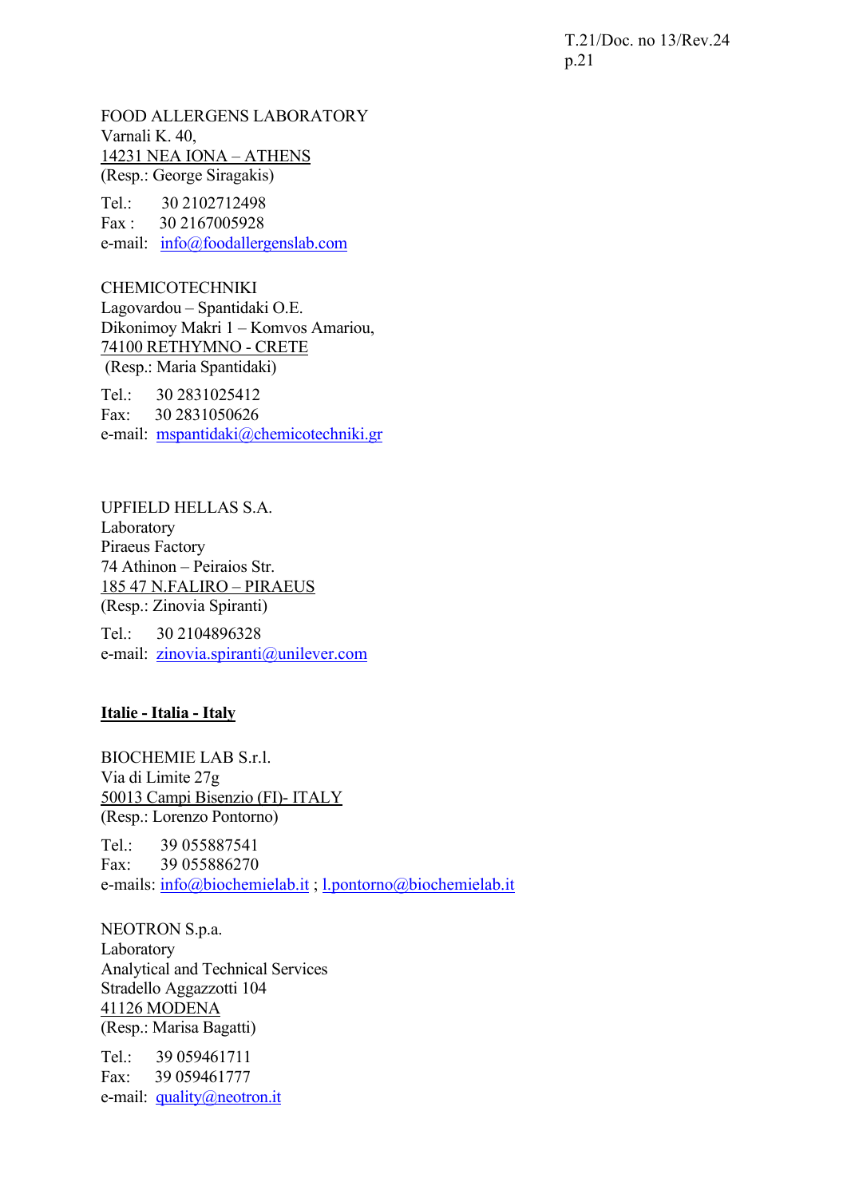FOOD ALLERGENS LABORATORY Varnali K. 40, 14231 NEA IONA – ATHENS (Resp.: George Siragakis)

Tel.: 30 2102712498 Fax : 30 2167005928 e-mail: [info@foodallergenslab.com](mailto:info@foodallergenslab.com)

**CHEMICOTECHNIKI** Lagovardou – Spantidaki O.E. Dikonimoy Makri 1 – Komvos Amariou, 74100 RETHYMNO - CRETE (Resp.: Maria Spantidaki)

Tel.: 30 2831025412 Fax: 30 2831050626 e-mail: [mspantidaki@chemicotechniki.gr](mailto:mspantidaki@chemicotechniki.gr)

UPFIELD HELLAS S.A. Laboratory Piraeus Factory 74 Athinon – Peiraios Str. 185 47 N.FALIRO – PIRAEUS (Resp.: Zinovia Spiranti)

Tel.: 30 2104896328 e-mail: [zinovia.spiranti@unilever.com](mailto:zinovia.spiranti@unilever.com)

#### **Italie - Italia - Italy**

BIOCHEMIE LAB S.r.l. Via di Limite 27g 50013 Campi Bisenzio (FI)- ITALY (Resp.: Lorenzo Pontorno) Tel.: 39 055887541 Fax: 39 055886270 e-mails: [info@biochemielab.it](mailto:info@biochemielab.it) ; [l.pontorno@biochemielab.it](mailto:l.pontorno@biochemielab.it)

NEOTRON S.p.a. Laboratory Analytical and Technical Services Stradello Aggazzotti 104 41126 MODENA (Resp.: Marisa Bagatti)

Tel.: 39 059461711 Fax: 39 059461777 e-mail: [quality@neotron.it](mailto:quality@neotron.it)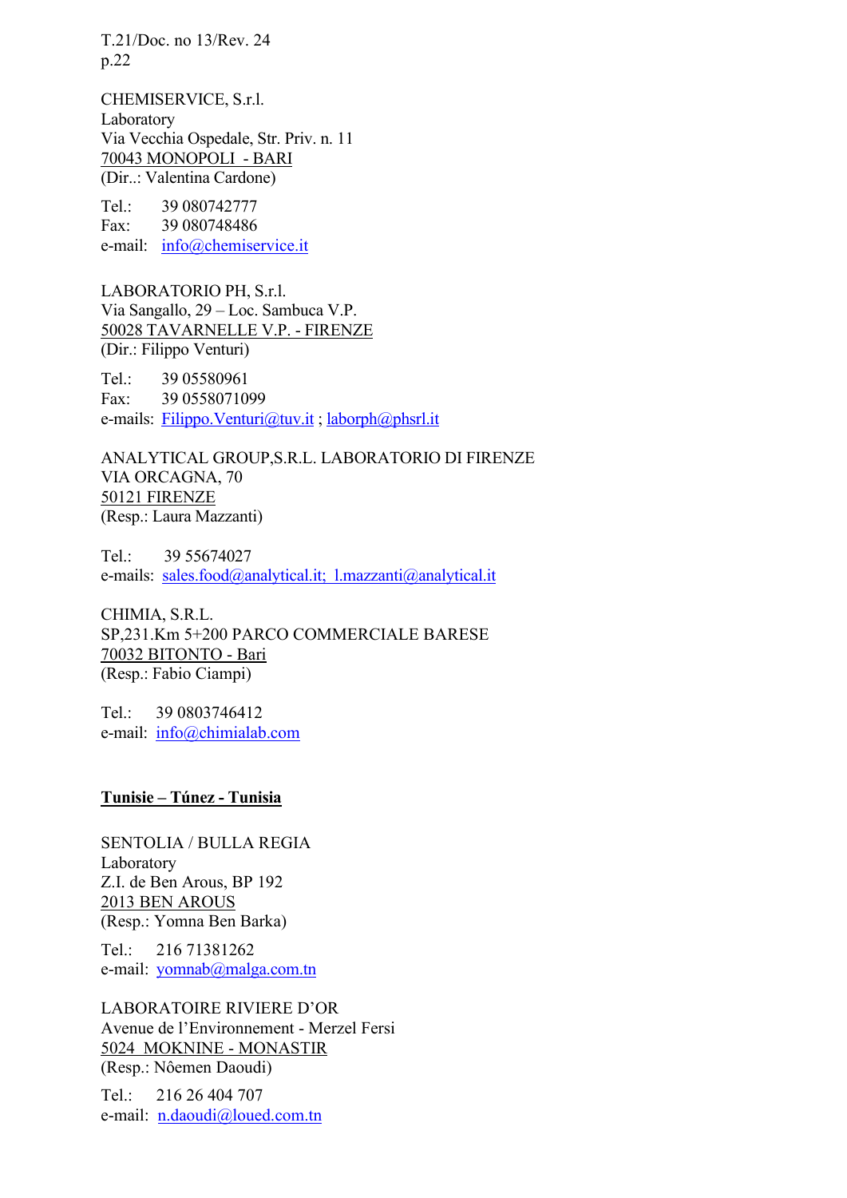CHEMISERVICE, S.r.l. Laboratory Via Vecchia Ospedale, Str. Priv. n. 11 70043 MONOPOLI - BARI (Dir..: Valentina Cardone)

Tel.: 39 080742777 Fax: 39 080748486 e-mail: [info@chemiservice.it](mailto:info@chemiservice.it)

LABORATORIO PH, S.r.l. Via Sangallo, 29 – Loc. Sambuca V.P. 50028 TAVARNELLE V.P. - FIRENZE (Dir.: Filippo Venturi)

Tel.: 39 05580961 Fax: 39 0558071099 e-mails: [Filippo.Venturi@tuv.it](mailto:Filippo.Venturi@tuv.it); [laborph@phsrl.it](mailto:laborph@phsrl.it)

ANALYTICAL GROUP,S.R.L. LABORATORIO DI FIRENZE VIA ORCAGNA, 70 50121 FIRENZE (Resp.: Laura Mazzanti)

Tel.: 39 55674027 e-mails: [sales.food@analytical.it; l.mazzanti@analytical.it](mailto:sales.food@analytical.it;%20%20l.mazzanti@analytical.it)

CHIMIA, S.R.L. SP,231.Km 5+200 PARCO COMMERCIALE BARESE 70032 BITONTO - Bari (Resp.: Fabio Ciampi)

Tel.: 39 0803746412 e-mail: [info@chimialab.com](mailto:info@chimialab.com)

#### **Tunisie – Túnez - Tunisia**

SENTOLIA / BULLA REGIA Laboratory Z.I. de Ben Arous, BP 192 2013 BEN AROUS (Resp.: Yomna Ben Barka)

Tel.: 216 71381262 e-mail: [yomnab@malga.com.tn](mailto:yomnab@malga.com.tn)

LABORATOIRE RIVIERE D'OR Avenue de l'Environnement - Merzel Fersi 5024 MOKNINE - MONASTIR (Resp.: Nôemen Daoudi)

Tel.: 216 26 404 707 e-mail: [n.daoudi@loued.com.tn](mailto:n.daoudi@loued.com.tn)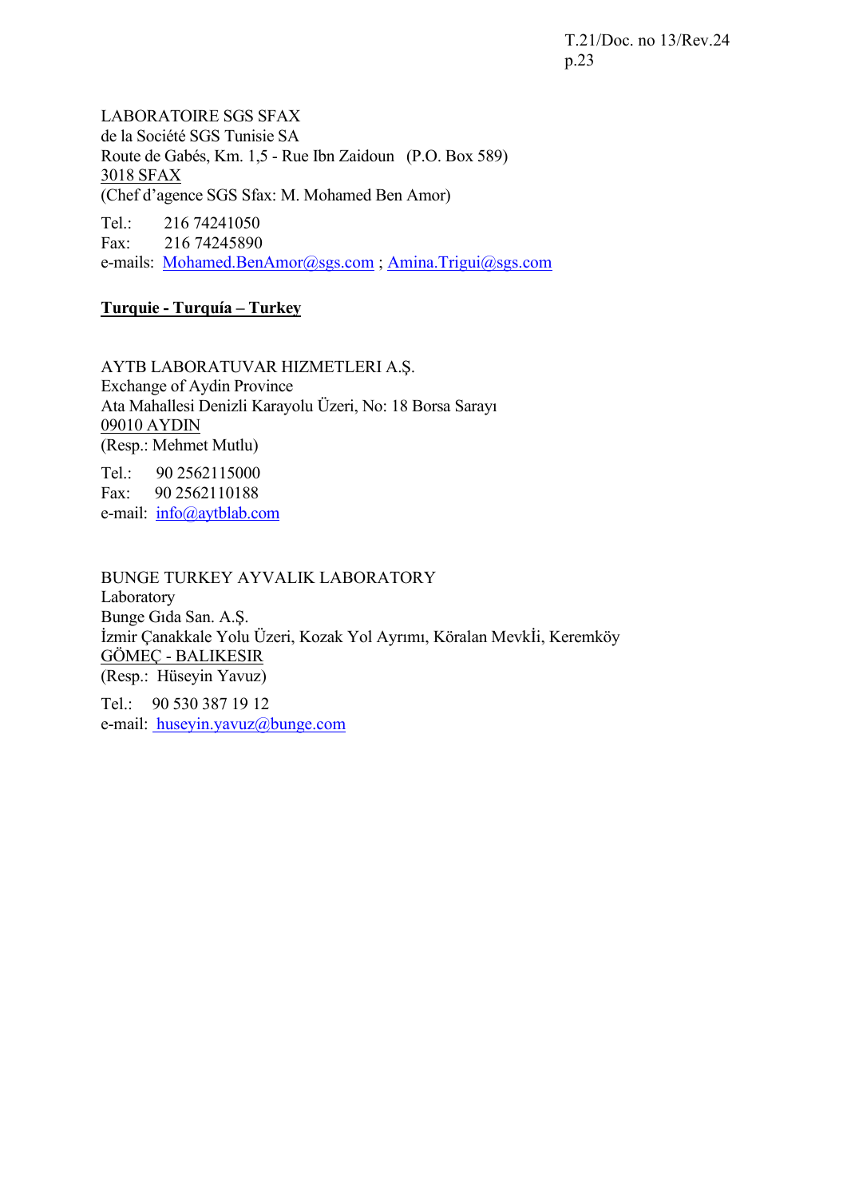LABORATOIRE SGS SFAX de la Société SGS Tunisie SA Route de Gabés, Km. 1,5 - Rue Ibn Zaidoun (P.O. Box 589) 3018 SFAX (Chef d'agence SGS Sfax: M. Mohamed Ben Amor)

Tel.: 216 74241050<br>Fax: 216 74245890 216 74245890 e-mails: [Mohamed.BenAmor@sgs.com](mailto:Mohamed.BenAmor@sgs.com) ; [Amina.Trigui@sgs.com](mailto:Amina.Trigui@sgs.com)

# **Turquie - Turquía – Turkey**

AYTB LABORATUVAR HIZMETLERI A.Ş. Exchange of Aydin Province Ata Mahallesi Denizli Karayolu Üzeri, No: 18 Borsa Sarayı 09010 AYDIN (Resp.: Mehmet Mutlu)

Tel.: 90 2562115000 Fax: 90 2562110188 e-mail: [info@aytblab.com](mailto:info@aytblab.com)

BUNGE TURKEY AYVALIK LABORATORY Laboratory Bunge Gıda San. A.Ş. İzmir Çanakkale Yolu Üzeri, Kozak Yol Ayrımı, Köralan Mevkİi, Keremköy GÖMEÇ - BALIKESIR (Resp.: Hüseyin Yavuz)

Tel.: 90 530 387 19 12 e-mail: huseyin.yavuz@bunge.com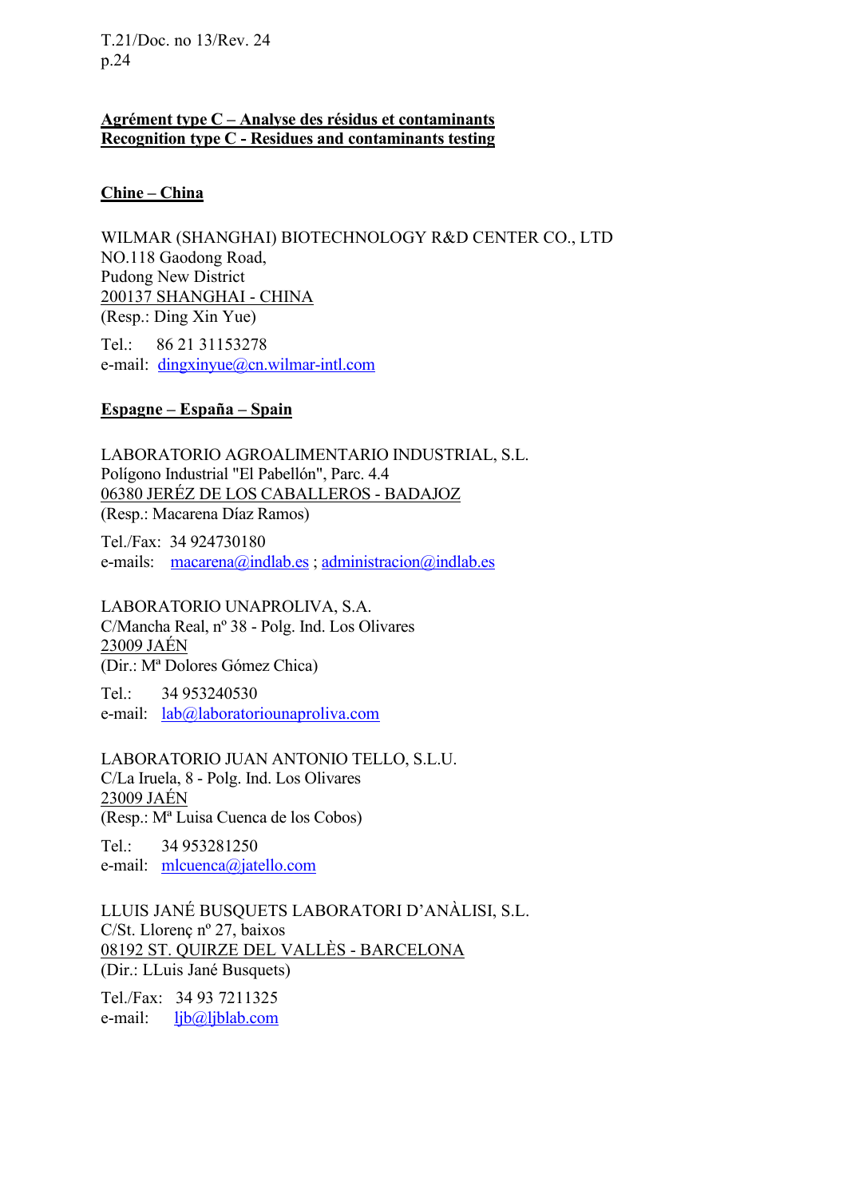### **Agrément type C – Analyse des résidus et contaminants Recognition type C - Residues and contaminants testing**

#### **Chine – China**

WILMAR (SHANGHAI) BIOTECHNOLOGY R&D CENTER CO., LTD NO.118 Gaodong Road, Pudong New District 200137 SHANGHAI - CHINA (Resp.: Ding Xin Yue) Tel.: 86 21 31153278 e-mail: dingxinyue@cn.wilmar-intl.com

# **Espagne – España – Spain**

LABORATORIO AGROALIMENTARIO INDUSTRIAL, S.L. Polígono Industrial "El Pabellón", Parc. 4.4 06380 JERÉZ DE LOS CABALLEROS - BADAJOZ (Resp.: Macarena Díaz Ramos)

Tel./Fax: 34 924730180 e-mails: [macarena@indlab.es](mailto:macarena@indlab.es) ; [administracion@indlab.es](mailto:administracion@indlab.es)

LABORATORIO UNAPROLIVA, S.A. C/Mancha Real, nº 38 - Polg. Ind. Los Olivares 23009 JAÉN (Dir.: Mª Dolores Gómez Chica)

Tel.: 34 953240530 e-mail: [lab@laboratoriounaproliva.com](mailto:lab@laboratoriounaproliva.com)

LABORATORIO JUAN ANTONIO TELLO, S.L.U. C/La Iruela, 8 - Polg. Ind. Los Olivares 23009 JAÉN (Resp.: Mª Luisa Cuenca de los Cobos)

Tel.: 34 953281250 e-mail: [mlcuenca@jatello.com](mailto:mlcuenca@jatello.com)

LLUIS JANÉ BUSQUETS LABORATORI D'ANÀLISI, S.L. C/St. Llorenç nº 27, baixos 08192 ST. QUIRZE DEL VALLÈS - BARCELONA (Dir.: LLuis Jané Busquets)

Tel./Fax: 34 93 7211325 e-mail: [ljb@ljblab.com](mailto:ljb@ljblab.com)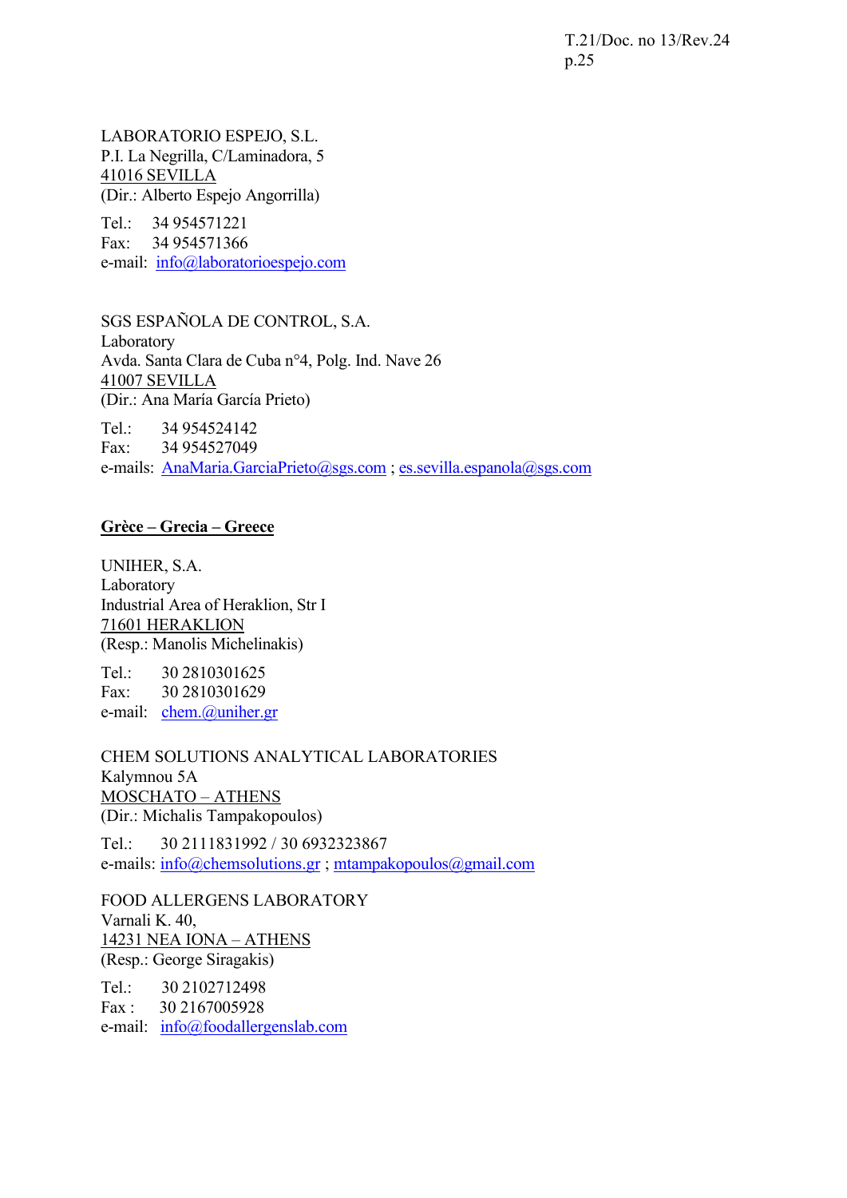LABORATORIO ESPEJO, S.L. P.I. La Negrilla, C/Laminadora, 5 41016 SEVILLA (Dir.: Alberto Espejo Angorrilla)

Tel.: 34 954571221 Fax: 34 954571366 e-mail: [info@laboratorioespejo.com](mailto:info@laboratorioespejo.com)

SGS ESPAÑOLA DE CONTROL, S.A. Laboratory Avda. Santa Clara de Cuba n°4, Polg. Ind. Nave 26 41007 SEVILLA (Dir.: Ana María García Prieto)

Tel.: 34 954524142 Fax: 34 954527049 e-mails: [AnaMaria.GarciaPrieto@sgs.com](mailto:AnaMaria.GarciaPrieto@sgs.com) ; [es.sevilla.espanola@sgs.com](mailto:es.sevilla.espanola@sgs.com)

#### **Grèce – Grecia – Greece**

UNIHER, S.A. Laboratory Industrial Area of Heraklion, Str I 71601 HERAKLION (Resp.: Manolis Michelinakis)

Tel.: 30 2810301625 Fax: 30 2810301629 e-mail: [chem.@uniher.gr](mailto:chem.@uniher.gr)

CHEM SOLUTIONS ANALYTICAL LABORATORIES Kalymnou 5A MOSCHATO – ATHENS (Dir.: Michalis Tampakopoulos)

Tel.: 30 2111831992 / 30 6932323867 e-mails:  $info@chemsolutions.gr$ ; [mtampakopoulos@gmail.com](mailto:mtampakopoulos@gmail.com)

FOOD ALLERGENS LABORATORY Varnali K. 40, 14231 NEA IONA – ATHENS (Resp.: George Siragakis)

Tel.: 30 2102712498 Fax : 30 2167005928 e-mail: [info@foodallergenslab.com](mailto:info@foodallergenslab.com)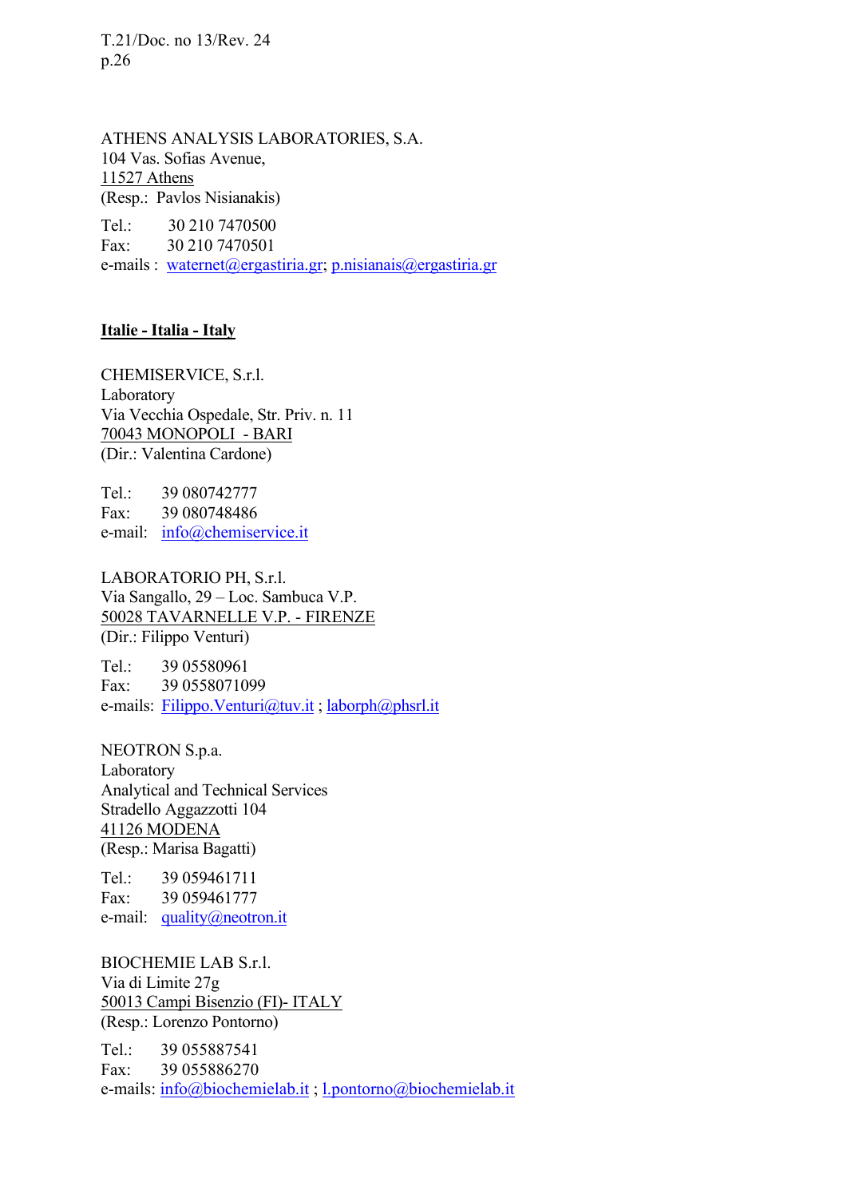ATHENS ANALYSIS LABORATORIES, S.A. 104 Vas. Sofias Avenue, 11527 Athens (Resp.: Pavlos Nisianakis) Tel.: 30 210 7470500 Fax: 30 210 7470501 e-mails : waternet@ergastiria.gr; [p.nisianais@ergastiria.gr](mailto:p.nisianais@ergastiria.gr)

#### **Italie - Italia - Italy**

CHEMISERVICE, S.r.l. Laboratory Via Vecchia Ospedale, Str. Priv. n. 11 70043 MONOPOLI - BARI (Dir.: Valentina Cardone)

Tel.: 39 080742777 Fax: 39 080748486 e-mail: [info@chemiservice.it](mailto:info@chemiservice.it)

LABORATORIO PH, S.r.l. Via Sangallo, 29 – Loc. Sambuca V.P. 50028 TAVARNELLE V.P. - FIRENZE (Dir.: Filippo Venturi)

Tel.: 39 05580961 Fax: 39 0558071099 e-mails: [Filippo.Venturi@tuv.it](mailto:Filippo.Venturi@tuv.it); [laborph@phsrl.it](mailto:laborph@phsrl.it)

NEOTRON S.p.a. Laboratory Analytical and Technical Services Stradello Aggazzotti 104 41126 MODENA (Resp.: Marisa Bagatti)

Tel.: 39 059461711 Fax: 39 059461777 e-mail: [quality@neotron.it](mailto:quality@neotron.it)

BIOCHEMIE LAB S.r.l. Via di Limite 27g 50013 Campi Bisenzio (FI)- ITALY (Resp.: Lorenzo Pontorno)

Tel.: 39 055887541 Fax: 39 055886270 e-mails: [info@biochemielab.it](mailto:info@biochemielab.it) ; [l.pontorno@biochemielab.it](mailto:l.pontorno@biochemielab.it)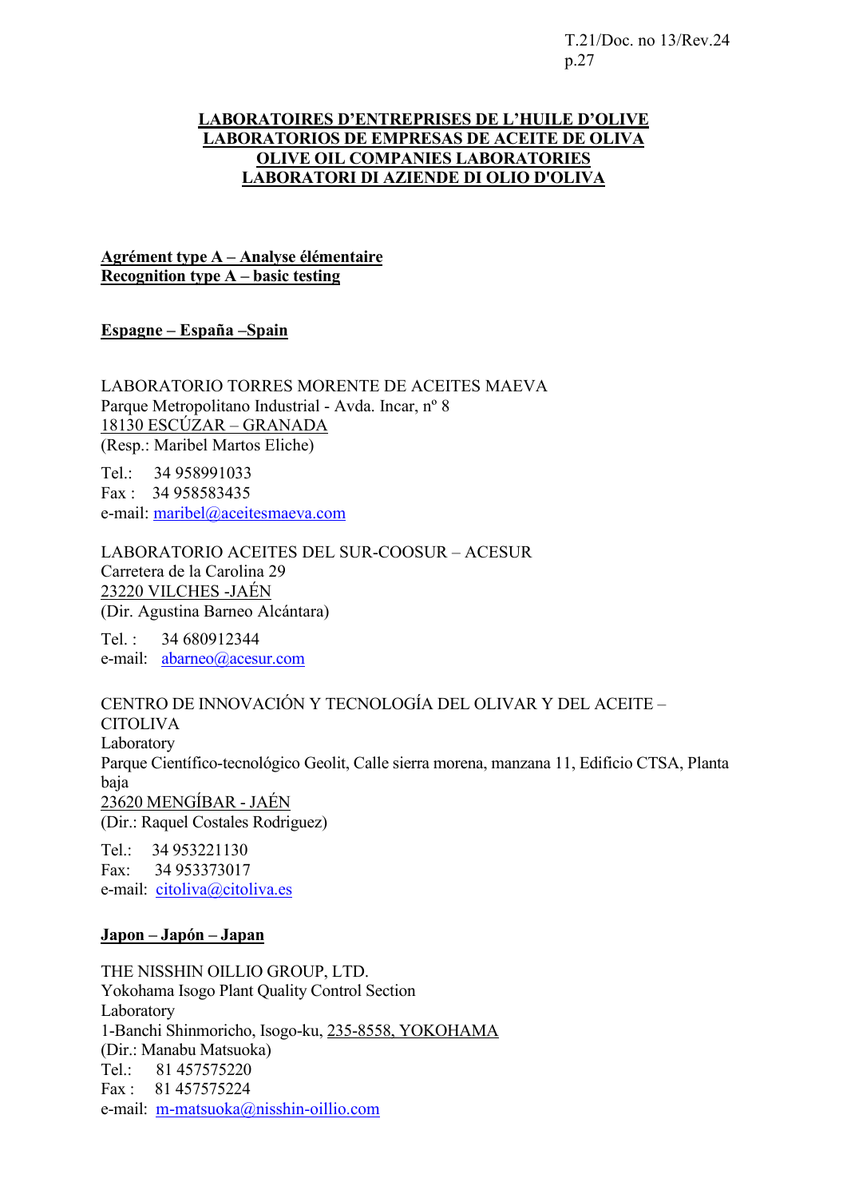### **LABORATOIRES D'ENTREPRISES DE L'HUILE D'OLIVE LABORATORIOS DE EMPRESAS DE ACEITE DE OLIVA OLIVE OIL COMPANIES LABORATORIES LABORATORI DI AZIENDE DI OLIO D'OLIVA**

### **Agrément type A – Analyse élémentaire Recognition type A – basic testing**

#### **Espagne – España –Spain**

LABORATORIO TORRES MORENTE DE ACEITES MAEVA Parque Metropolitano Industrial - Avda. Incar, nº 8 18130 ESCÚZAR – GRANADA (Resp.: Maribel Martos Eliche)

Tel.: 34 958991033 Fax : 34 958583435 e-mail: [maribel@aceitesmaeva.com](mailto:maribel@aceitesmaeva.com)

LABORATORIO ACEITES DEL SUR-COOSUR – ACESUR Carretera de la Carolina 29 23220 VILCHES -JAÉN (Dir. Agustina Barneo Alcántara)

Tel. : 34 680912344 e-mail: [abarneo@acesur.com](mailto:abarneo@acesur.com)

CENTRO DE INNOVACIÓN Y TECNOLOGÍA DEL OLIVAR Y DEL ACEITE – **CITOLIVA** Laboratory Parque Científico-tecnológico Geolit, Calle sierra morena, manzana 11, Edificio CTSA, Planta baja 23620 MENGÍBAR - JAÉN (Dir.: Raquel Costales Rodriguez)

Tel.: 34 953221130 Fax: 34 953373017 e-mail: citoliva@citoliva.es

#### **Japon – Japón – Japan**

THE NISSHIN OILLIO GROUP, LTD. Yokohama Isogo Plant Quality Control Section Laboratory 1-Banchi Shinmoricho, Isogo-ku, 235-8558, YOKOHAMA (Dir.: Manabu Matsuoka) Tel.: 81 457575220 Fax : 81 457575224 e-mail: [m-matsuoka@nisshin-oillio.com](mailto:m-matsuoka@nisshin-oillio.com)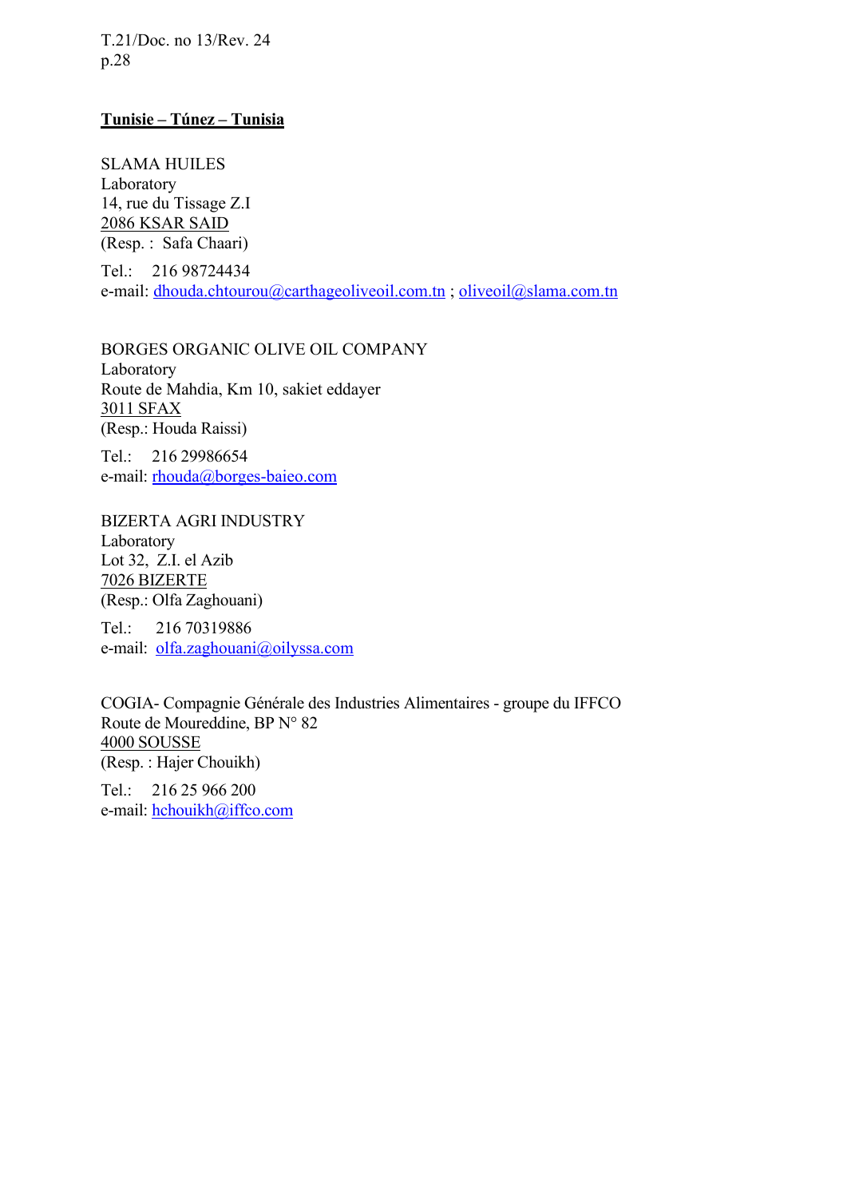### **Tunisie – Túnez – Tunisia**

SLAMA HUILES Laboratory 14, rue du Tissage Z.I 2086 KSAR SAID (Resp. : Safa Chaari) Tel.: 216 98724434 e-mail: [dhouda.chtourou@carthageoliveoil.com.tn](mailto:dhouda.chtourou@carthageoliveoil.com.tn) ; [oliveoil@slama.com.tn](mailto:oliveoil@slama.com.tn)

BORGES ORGANIC OLIVE OIL COMPANY Laboratory Route de Mahdia, Km 10, sakiet eddayer 3011 SFAX (Resp.: Houda Raissi)

Tel.: 216 29986654 e-mail: [rhouda@borges-baieo.com](mailto:rhouda@borges-baieo.com)

BIZERTA AGRI INDUSTRY Laboratory Lot 32, Z.I. el Azib 7026 BIZERTE (Resp.: Olfa Zaghouani)

Tel.: 216 70319886 e-mail: [olfa.zaghouani@oilyssa.com](mailto:olfa.zaghouani@oilyssa.com)

COGIA- Compagnie Générale des Industries Alimentaires - groupe du IFFCO Route de Moureddine, BP N° 82 4000 SOUSSE (Resp. : Hajer Chouikh) Tel.: 216 25 966 200

e-mail[: hchouikh@iffco.com](mailto:hchouikh@iffco.com)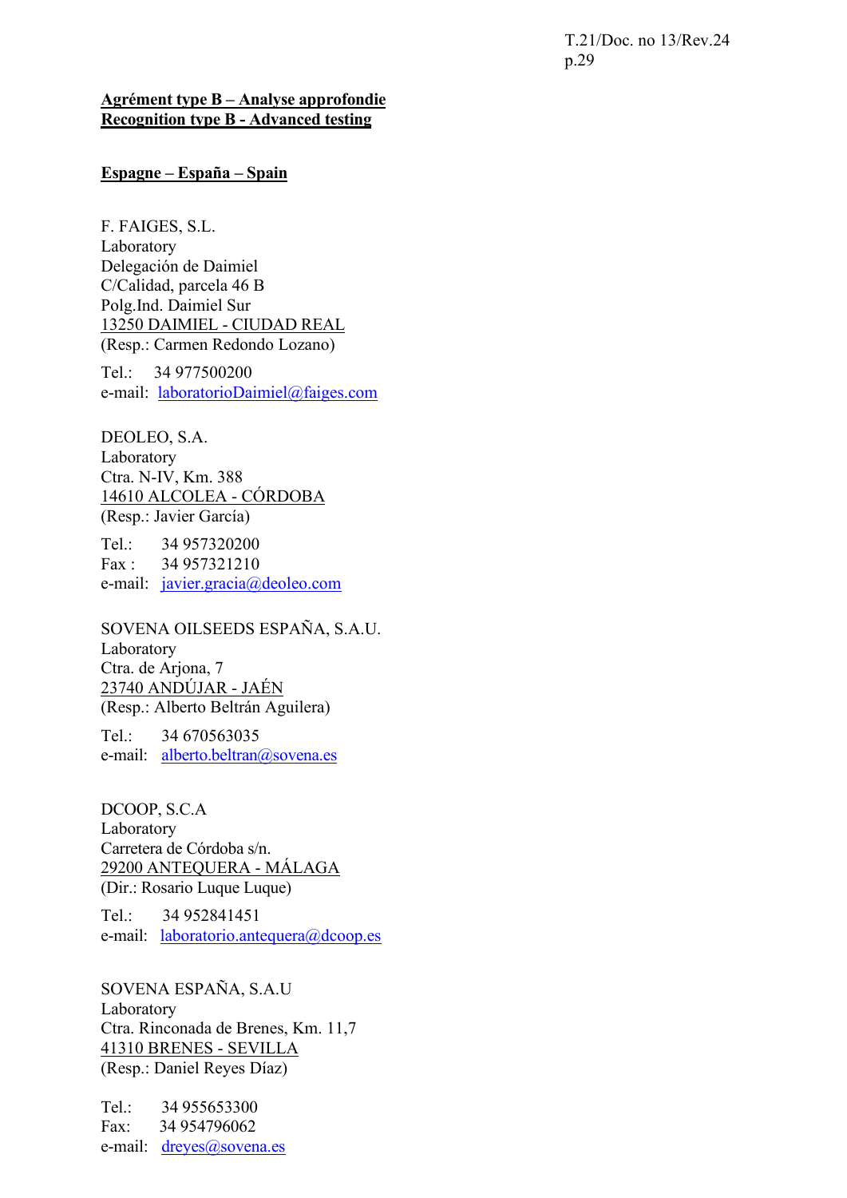### **Agrément type B – Analyse approfondie Recognition type B - Advanced testing**

#### **Espagne – España – Spain**

F. FAIGES, S.L. Laboratory Delegación de Daimiel C/Calidad, parcela 46 B Polg.Ind. Daimiel Sur 13250 DAIMIEL - CIUDAD REAL (Resp.: Carmen Redondo Lozano)

Tel.: 34 977500200 e-mail: [laboratorioDaimiel@faiges.com](mailto:laboratorioDaimiel@faiges.com)

DEOLEO, S.A. Laboratory Ctra. N-IV, Km. 388 14610 ALCOLEA - CÓRDOBA (Resp.: Javier García)

Tel.: 34 957320200 Fax : 34 957321210 e-mail: [javier.gracia@deoleo.com](mailto:javier.gracia@deoleo.com)

SOVENA OILSEEDS ESPAÑA, S.A.U. Laboratory Ctra. de Arjona, 7 23740 ANDÚJAR - JAÉN (Resp.: Alberto Beltrán Aguilera)

Tel.: 34 670563035 e-mail: [alberto.beltran@sovena.es](mailto:alberto.beltran@sovena.es)

DCOOP, S.C.A Laboratory Carretera de Córdoba s/n. 29200 ANTEQUERA - MÁLAGA (Dir.: Rosario Luque Luque)

Tel.: 34 952841451 e-mail: [laboratorio.antequera@dcoop.es](mailto:laboratorio.antequera@dcoop.es)

SOVENA ESPAÑA, S.A.U Laboratory Ctra. Rinconada de Brenes, Km. 11,7 41310 BRENES - SEVILLA (Resp.: Daniel Reyes Díaz)

Tel.: 34 955653300 Fax: 34 954796062 e-mail: [dreyes@sovena.es](mailto:dreyes@sovena.es)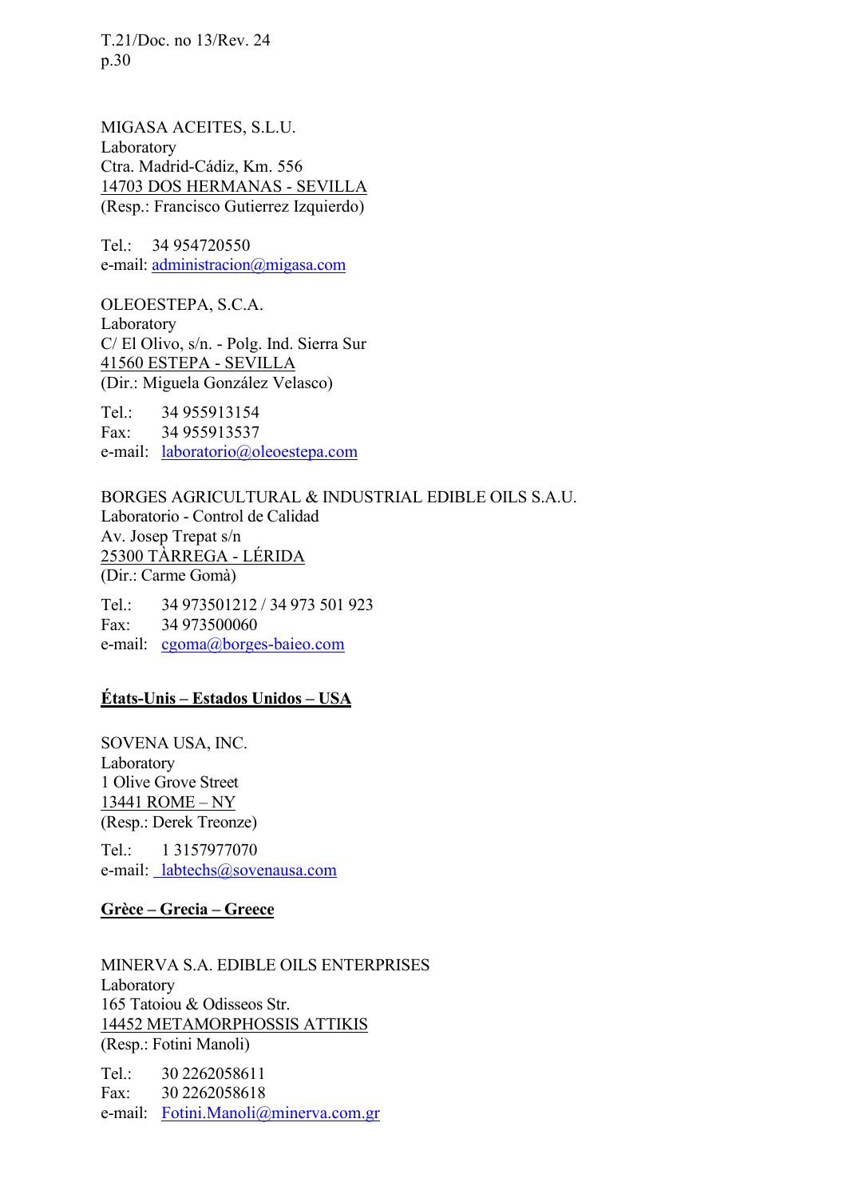MIGASA ACEITES, S.L.U. Laboratory Ctra. Madrid-Cádiz, Km. 556 14703 DOS HERMANAS - SEVILLA (Resp.: Francisco Gutierrez Izquierdo)

Tel.: 34 954720550 e-mail[: administracion@migasa.com](mailto:administracion@migasa.com)

OLEOESTEPA, S.C.A. Laboratory C/ El Olivo, s/n. - Polg. Ind. Sierra Sur 41560 ESTEPA - SEVILLA (Dir.: Miguela González Velasco)

Tel.: 34 955913154 Fax: 34 955913537 e-mail: [laboratorio@oleoestepa.com](mailto:laboratorio@oleoestepa.com)

BORGES AGRICULTURAL & INDUSTRIAL EDIBLE OILS S.A.U. Laboratorio - Control de Calidad Av. Josep Trepat s/n 25300 TÀRREGA - LÉRIDA (Dir.: Carme Gomà)

Tel.: 34 973501212 / 34 973 501 923 Fax: 34 973500060 e-mail: cgoma@borges-baieo.com

#### **États-Unis – Estados Unidos – USA**

SOVENA USA, INC. Laboratory 1 Olive Grove Street 13441 ROME – NY (Resp.: Derek Treonze)

Tel.: 1 3157977070 e-mail: labtechs@sovenausa.com

**Grèce – Grecia – Greece**

MINERVA S.A. EDIBLE OILS ENTERPRISES Laboratory 165 Tatoiou & Odisseos Str. 14452 METAMORPHOSSIS ATTIKIS (Resp.: Fotini Manoli)

Tel.: 30 2262058611 Fax: 30 2262058618 e-mail: [Fotini.Manoli@minerva.com.gr](mailto:Fotini.Manoli@minerva.com.gr)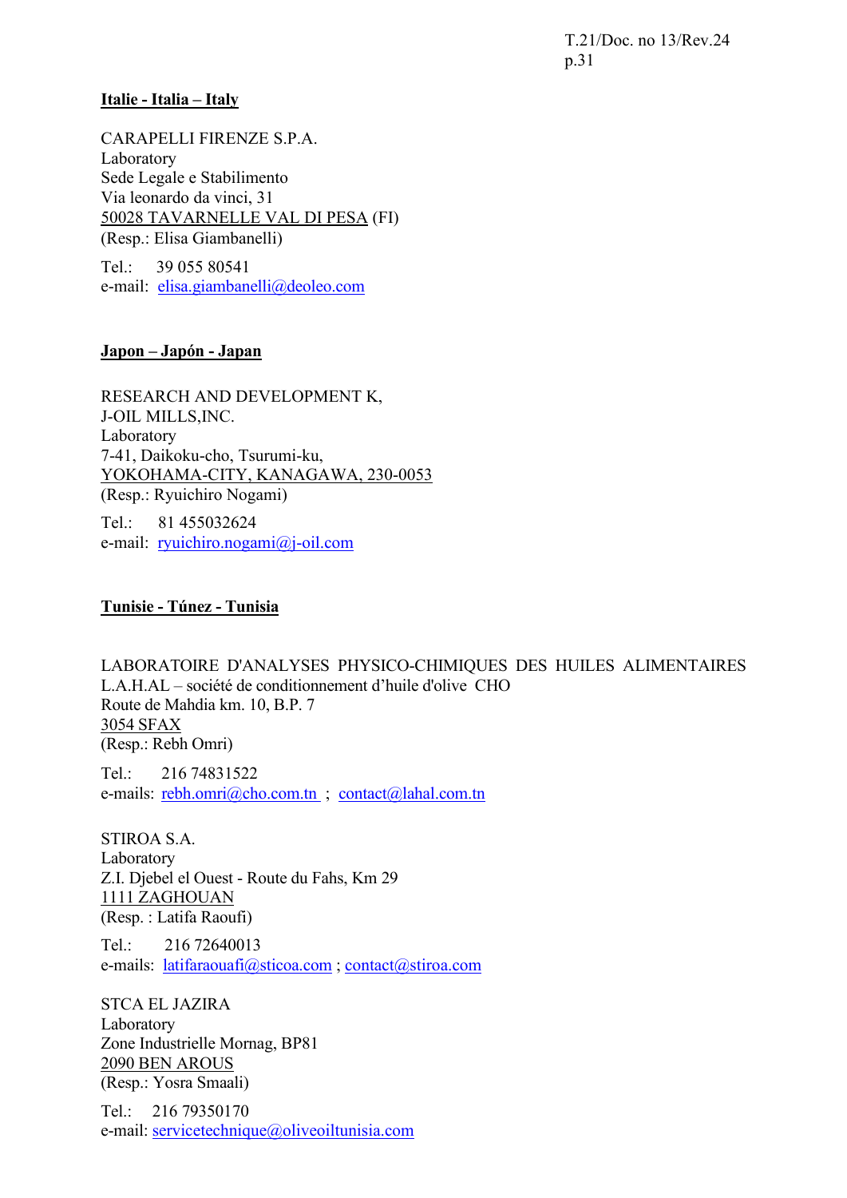#### **Italie - Italia – Italy**

CARAPELLI FIRENZE S.P.A. Laboratory Sede Legale e Stabilimento Via leonardo da vinci, 31 50028 TAVARNELLE VAL DI PESA (FI) (Resp.: Elisa Giambanelli) Tel.: 39 055 80541 e-mail: [elisa.giambanelli@deoleo.com](mailto:elisa.giambanelli@deoleo.com)

#### **Japon – Japón - Japan**

RESEARCH AND DEVELOPMENT K, J-OIL MILLS,INC. Laboratory 7-41, Daikoku-cho, Tsurumi-ku, YOKOHAMA-CITY, KANAGAWA, 230-0053 (Resp.: Ryuichiro Nogami)

Tel.: 81 455032624 e-mail: <u>[ryuichiro.nogami@j-oil.com](mailto:ryuichiro.nogami@j-oil.com)</u>

#### **Tunisie - Túnez - Tunisia**

LABORATOIRE D'ANALYSES PHYSICO-CHIMIQUES DES HUILES ALIMENTAIRES L.A.H.AL – société de conditionnement d'huile d'olive CHO Route de Mahdia km. 10, B.P. 7 3054 SFAX (Resp.: Rebh Omri)

Tel.: 216 74831522 e-mails: [rebh.omri@cho.com.tn](mailto:rebh.omri@cho.com.tn); [contact@lahal.com.tn](mailto:contact@lahal.com.tn)

STIROA S.A. Laboratory Z.I. Djebel el Ouest - Route du Fahs, Km 29 1111 ZAGHOUAN (Resp. : Latifa Raoufi) Tel.: 216 72640013 e-mails: *[latifaraouafi@sticoa.com](mailto:latifaraouafi@sticoa.com)* ; [contact@stiroa.com](mailto:contact@stiroa.com)

STCA EL JAZIRA Laboratory Zone Industrielle Mornag, BP81 2090 BEN AROUS (Resp.: Yosra Smaali)

Tel.: 216 79350170 e-mail: servicetechnique@oliveoiltunisia.com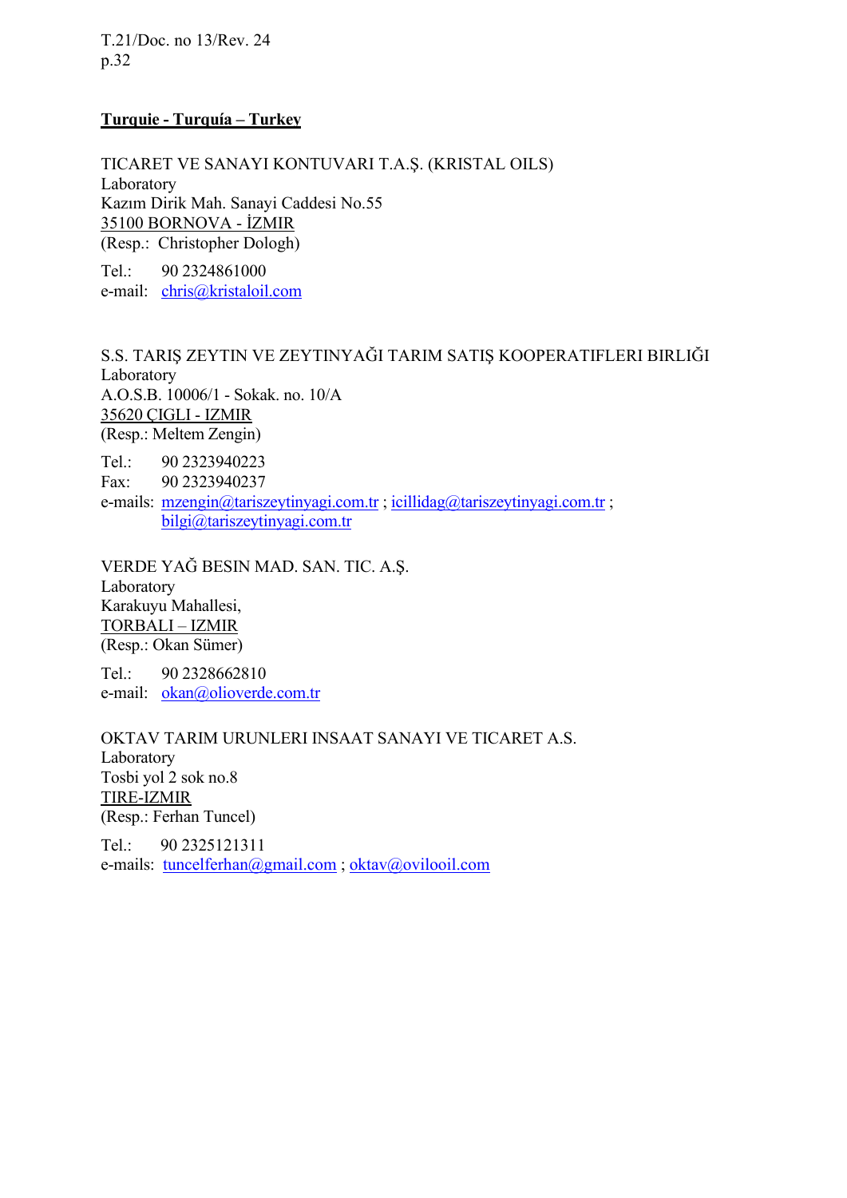### **Turquie - Turquía – Turkey**

TICARET VE SANAYI KONTUVARI T.A.Ş. (KRISTAL OILS) Laboratory Kazım Dirik Mah. Sanayi Caddesi No.55 35100 BORNOVA - İZMIR (Resp.: Christopher Dologh) Tel.: 90 2324861000

e-mail: [chris@kristaloil.com](mailto:chris@kristaloil.com)

S.S. TARIŞ ZEYTIN VE ZEYTINYAĞI TARIM SATIŞ KOOPERATIFLERI BIRLIĞI Laboratory A.O.S.B. 10006/1 - Sokak. no. 10/A 35620 ÇIGLI - IZMIR (Resp.: Meltem Zengin) Tel.: 90 2323940223

Fax: 90 2323940237 e-mails: [mzengin@tariszeytinyagi.com.tr](mailto:mzengin@tariszeytinyagi.com.tr); [icillidag@tariszeytinyagi.com.tr](mailto:icillidag@tariszeytinyagi.com.tr); [bilgi@tariszeytinyagi.com.tr](mailto:bilgi@tariszeytinyagi.com.tr)

VERDE YAĞ BESIN MAD. SAN. TIC. A.Ş. Laboratory Karakuyu Mahallesi, TORBALI – IZMIR (Resp.: Okan Sümer)

Tel.: 90 2328662810 e-mail: [okan@olioverde.com.tr](mailto:okan@olioverde.com.tr)

OKTAV TARIM URUNLERI INSAAT SANAYI VE TICARET A.S. Laboratory Tosbi yol 2 sok no.8 TIRE-IZMIR (Resp.: Ferhan Tuncel) Tel.: 90 2325121311 e-mails: tuncelferhan@gmail.com ; oktav@ovilooil.com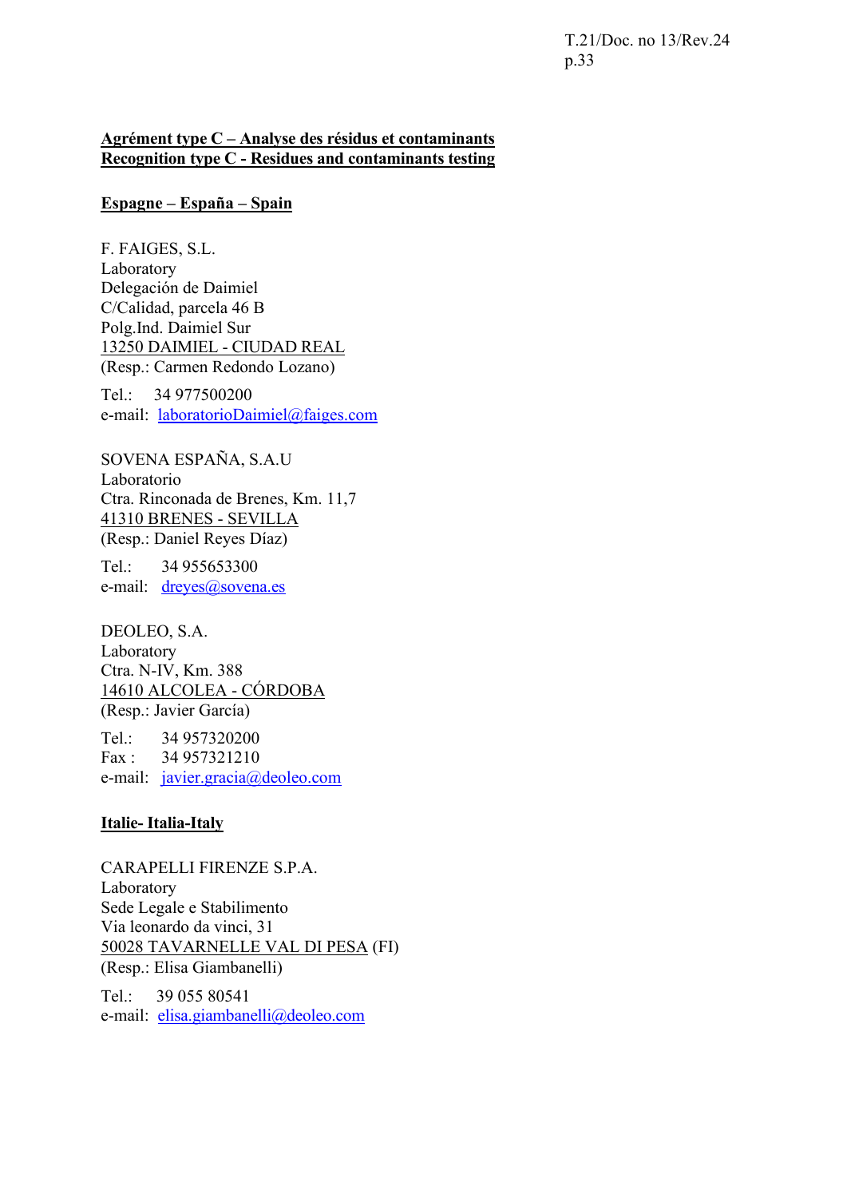# **Agrément type C – Analyse des résidus et contaminants Recognition type C - Residues and contaminants testing**

#### **Espagne – España – Spain**

F. FAIGES, S.L. Laboratory Delegación de Daimiel C/Calidad, parcela 46 B Polg.Ind. Daimiel Sur 13250 DAIMIEL - CIUDAD REAL (Resp.: Carmen Redondo Lozano)

Tel.: 34 977500200 e-mail: [laboratorioDaimiel@faiges.com](mailto:laboratorioDaimiel@faiges.com)

SOVENA ESPAÑA, S.A.U Laboratorio Ctra. Rinconada de Brenes, Km. 11,7 41310 BRENES - SEVILLA (Resp.: Daniel Reyes Díaz)

Tel.: 34 955653300 e-mail: [dreyes@sovena.es](mailto:dreyes@sovena.es)

DEOLEO, S.A. Laboratory Ctra. N-IV, Km. 388 14610 ALCOLEA - CÓRDOBA (Resp.: Javier García) Tel.: 34 957320200 Fax : 34 957321210 e-mail: [javier.gracia@deoleo.com](mailto:javier.gracia@deoleo.com)

#### **Italie- Italia-Italy**

CARAPELLI FIRENZE S.P.A. Laboratory Sede Legale e Stabilimento Via leonardo da vinci, 31 50028 TAVARNELLE VAL DI PESA (FI) (Resp.: Elisa Giambanelli)

Tel.: 39 055 80541 e-mail: [elisa.giambanelli@deoleo.com](mailto:elisa.giambanelli@deoleo.com)